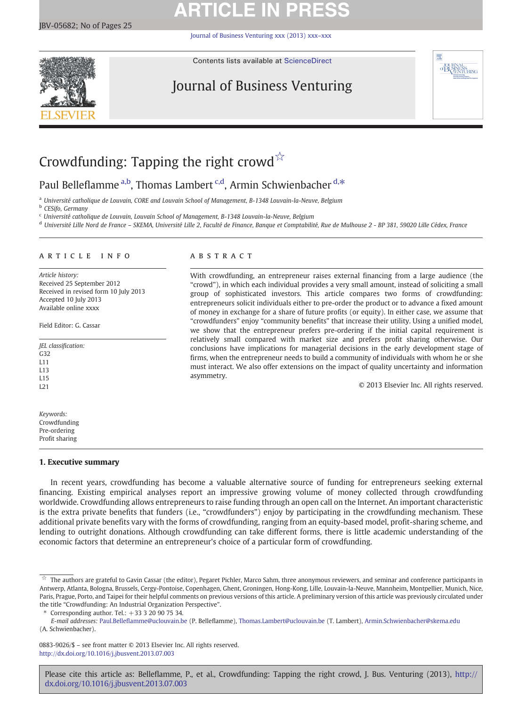# **ARTICLE IN PRESS**

[Journal of Business Venturing xxx \(2013\) xxx](http://dx.doi.org/10.1016/j.jbusvent.2013.07.003)–xxx



Contents lists available at [ScienceDirect](http://www.sciencedirect.com/science/journal/08839026)

# Journal of Business Venturing



# Crowdfunding: Tapping the right crowd $\sqrt[5]{x}$

P[a](#page-0-0)ul Belleflamme a,[b](#page-0-0), Thomas Lambert [c,d,](#page-0-0) Armin Schwienbacher [d,](#page-0-0)\*

<sup>a</sup> Université catholique de Louvain, CORE and Louvain School of Management, B-1348 Louvain-la-Neuve, Belgium

<sup>b</sup> CESifo, Germany

<sup>c</sup> Université catholique de Louvain, Louvain School of Management, B-1348 Louvain-la-Neuve, Belgium

<sup>d</sup> Université Lille Nord de France – SKEMA, Université Lille 2, Faculté de Finance, Banque et Comptabilité, Rue de Mulhouse 2 - BP 381, 59020 Lille Cédex, France

# article info abstract

Article history: Received 25 September 2012 Received in revised form 10 July 2013 Accepted 10 July 2013 Available online xxxx

Field Editor: G. Cassar

JEL classification: G32 L11 L13 L15 L21

Keywords: Crowdfunding Pre-ordering Profit sharing

# 1. Executive summary

With crowdfunding, an entrepreneur raises external financing from a large audience (the "crowd"), in which each individual provides a very small amount, instead of soliciting a small group of sophisticated investors. This article compares two forms of crowdfunding: entrepreneurs solicit individuals either to pre-order the product or to advance a fixed amount of money in exchange for a share of future profits (or equity). In either case, we assume that "crowdfunders" enjoy "community benefits" that increase their utility. Using a unified model, we show that the entrepreneur prefers pre-ordering if the initial capital requirement is relatively small compared with market size and prefers profit sharing otherwise. Our conclusions have implications for managerial decisions in the early development stage of firms, when the entrepreneur needs to build a community of individuals with whom he or she must interact. We also offer extensions on the impact of quality uncertainty and information asymmetry.

© 2013 Elsevier Inc. All rights reserved.

In recent years, crowdfunding has become a valuable alternative source of funding for entrepreneurs seeking external financing. Existing empirical analyses report an impressive growing volume of money collected through crowdfunding worldwide. Crowdfunding allows entrepreneurs to raise funding through an open call on the Internet. An important characteristic is the extra private benefits that funders (i.e., "crowdfunders") enjoy by participating in the crowdfunding mechanism. These additional private benefits vary with the forms of crowdfunding, ranging from an equity-based model, profit-sharing scheme, and lending to outright donations. Although crowdfunding can take different forms, there is little academic understanding of the economic factors that determine an entrepreneur's choice of a particular form of crowdfunding.

The authors are grateful to Gavin Cassar (the editor), Pegaret Pichler, Marco Sahm, three anonymous reviewers, and seminar and conference participants in Antwerp, Atlanta, Bologna, Brussels, Cergy-Pontoise, Copenhagen, Ghent, Groningen, Hong-Kong, Lille, Louvain-la-Neuve, Mannheim, Montpellier, Munich, Nice, Paris, Prague, Porto, and Taipei for their helpful comments on previous versions of this article. A preliminary version of this article was previously circulated under the title "Crowdfunding: An Industrial Organization Perspective".

Corresponding author. Tel.:  $+33$  3 20 90 75 34.

E-mail addresses: Paul.Bellefl[amme@uclouvain.be](mailto:Paul.Belleflamme@uclouvain.be) (P. Belleflamme), [Thomas.Lambert@uclouvain.be](mailto:Thomas.Lambert@uclouvain.be) (T. Lambert), [Armin.Schwienbacher@skema.edu](mailto:Armin.Schwienbacher@skema.edu) (A. Schwienbacher).

<span id="page-0-0"></span><sup>0883-9026/\$</sup> – see front matter © 2013 Elsevier Inc. All rights reserved. <http://dx.doi.org/10.1016/j.jbusvent.2013.07.003>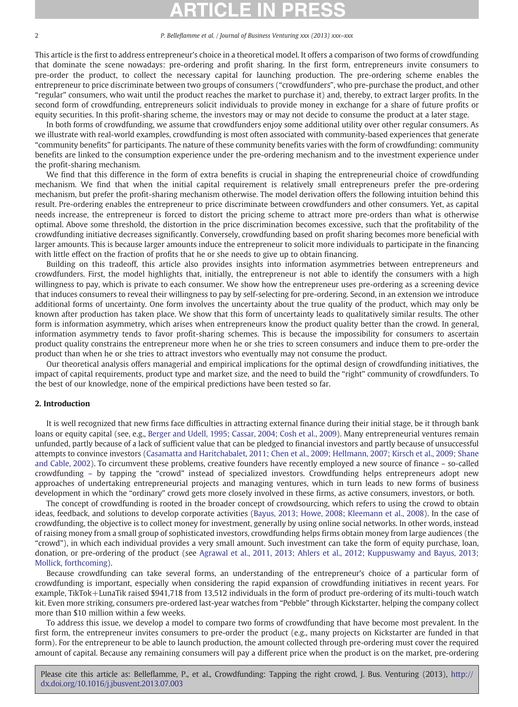This article is the first to address entrepreneur's choice in a theoretical model. It offers a comparison of two forms of crowdfunding that dominate the scene nowadays: pre-ordering and profit sharing. In the first form, entrepreneurs invite consumers to pre-order the product, to collect the necessary capital for launching production. The pre-ordering scheme enables the entrepreneur to price discriminate between two groups of consumers ("crowdfunders", who pre-purchase the product, and other "regular" consumers, who wait until the product reaches the market to purchase it) and, thereby, to extract larger profits. In the second form of crowdfunding, entrepreneurs solicit individuals to provide money in exchange for a share of future profits or equity securities. In this profit-sharing scheme, the investors may or may not decide to consume the product at a later stage.

In both forms of crowdfunding, we assume that crowdfunders enjoy some additional utility over other regular consumers. As we illustrate with real-world examples, crowdfunding is most often associated with community-based experiences that generate "community benefits" for participants. The nature of these community benefits varies with the form of crowdfunding: community benefits are linked to the consumption experience under the pre-ordering mechanism and to the investment experience under the profit-sharing mechanism.

We find that this difference in the form of extra benefits is crucial in shaping the entrepreneurial choice of crowdfunding mechanism. We find that when the initial capital requirement is relatively small entrepreneurs prefer the pre-ordering mechanism, but prefer the profit-sharing mechanism otherwise. The model derivation offers the following intuition behind this result. Pre-ordering enables the entrepreneur to price discriminate between crowdfunders and other consumers. Yet, as capital needs increase, the entrepreneur is forced to distort the pricing scheme to attract more pre-orders than what is otherwise optimal. Above some threshold, the distortion in the price discrimination becomes excessive, such that the profitability of the crowdfunding initiative decreases significantly. Conversely, crowdfunding based on profit sharing becomes more beneficial with larger amounts. This is because larger amounts induce the entrepreneur to solicit more individuals to participate in the financing with little effect on the fraction of profits that he or she needs to give up to obtain financing.

Building on this tradeoff, this article also provides insights into information asymmetries between entrepreneurs and crowdfunders. First, the model highlights that, initially, the entrepreneur is not able to identify the consumers with a high willingness to pay, which is private to each consumer. We show how the entrepreneur uses pre-ordering as a screening device that induces consumers to reveal their willingness to pay by self-selecting for pre-ordering. Second, in an extension we introduce additional forms of uncertainty. One form involves the uncertainty about the true quality of the product, which may only be known after production has taken place. We show that this form of uncertainty leads to qualitatively similar results. The other form is information asymmetry, which arises when entrepreneurs know the product quality better than the crowd. In general, information asymmetry tends to favor profit-sharing schemes. This is because the impossibility for consumers to ascertain product quality constrains the entrepreneur more when he or she tries to screen consumers and induce them to pre-order the product than when he or she tries to attract investors who eventually may not consume the product.

Our theoretical analysis offers managerial and empirical implications for the optimal design of crowdfunding initiatives, the impact of capital requirements, product type and market size, and the need to build the "right" community of crowdfunders. To the best of our knowledge, none of the empirical predictions have been tested so far.

# 2. Introduction

It is well recognized that new firms face difficulties in attracting external finance during their initial stage, be it through bank loans or equity capital (see, e.g., [Berger and Udell, 1995; Cassar, 2004; Cosh et al., 2009\)](#page-24-0). Many entrepreneurial ventures remain unfunded, partly because of a lack of sufficient value that can be pledged to financial investors and partly because of unsuccessful attempts to convince investors ([Casamatta and Haritchabalet, 2011; Chen et al., 2009; Hellmann, 2007; Kirsch et al., 2009; Shane](#page-24-0) [and Cable, 2002](#page-24-0)). To circumvent these problems, creative founders have recently employed a new source of finance – so-called crowdfunding – by tapping the "crowd" instead of specialized investors. Crowdfunding helps entrepreneurs adopt new approaches of undertaking entrepreneurial projects and managing ventures, which in turn leads to new forms of business development in which the "ordinary" crowd gets more closely involved in these firms, as active consumers, investors, or both.

The concept of crowdfunding is rooted in the broader concept of crowdsourcing, which refers to using the crowd to obtain ideas, feedback, and solutions to develop corporate activities ([Bayus, 2013; Howe, 2008; Kleemann et al., 2008\)](#page-24-0). In the case of crowdfunding, the objective is to collect money for investment, generally by using online social networks. In other words, instead of raising money from a small group of sophisticated investors, crowdfunding helps firms obtain money from large audiences (the "crowd"), in which each individual provides a very small amount. Such investment can take the form of equity purchase, loan, donation, or pre-ordering of the product (see [Agrawal et al., 2011, 2013; Ahlers et al., 2012; Kuppuswamy and Bayus, 2013;](#page-24-0) [Mollick, forthcoming\)](#page-24-0).

Because crowdfunding can take several forms, an understanding of the entrepreneur's choice of a particular form of crowdfunding is important, especially when considering the rapid expansion of crowdfunding initiatives in recent years. For example, TikTok+LunaTik raised \$941,718 from 13,512 individuals in the form of product pre-ordering of its multi-touch watch kit. Even more striking, consumers pre-ordered last-year watches from "Pebble" through Kickstarter, helping the company collect more than \$10 million within a few weeks.

<span id="page-1-0"></span>To address this issue, we develop a model to compare two forms of crowdfunding that have become most prevalent. In the first form, the entrepreneur invites consumers to pre-order the product (e.g., many projects on Kickstarter are funded in that form). For the entrepreneur to be able to launch production, the amount collected through pre-ordering must cover the required amount of capital. Because any remaining consumers will pay a different price when the product is on the market, pre-ordering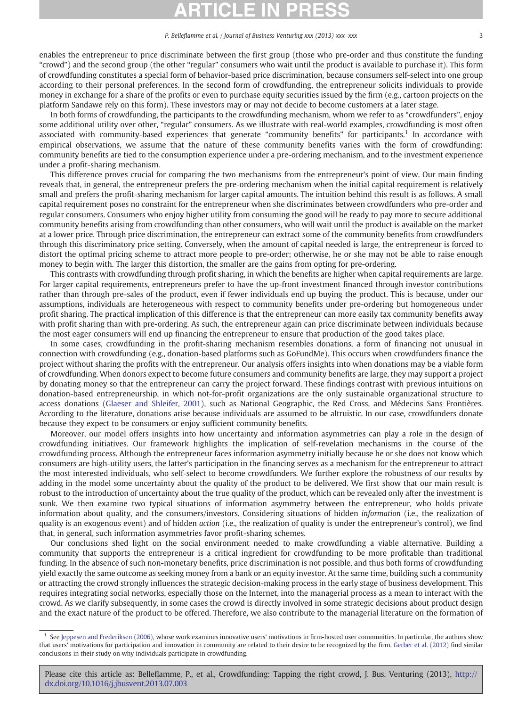enables the entrepreneur to price discriminate between the first group (those who pre-order and thus constitute the funding "crowd") and the second group (the other "regular" consumers who wait until the product is available to purchase it). This form of crowdfunding constitutes a special form of behavior-based price discrimination, because consumers self-select into one group according to their personal preferences. In the second form of crowdfunding, the entrepreneur solicits individuals to provide money in exchange for a share of the profits or even to purchase equity securities issued by the firm (e.g., cartoon projects on the platform Sandawe rely on this form). These investors may or may not decide to become customers at a later stage.

In both forms of crowdfunding, the participants to the crowdfunding mechanism, whom we refer to as "crowdfunders", enjoy some additional utility over other, "regular" consumers. As we illustrate with real-world examples, crowdfunding is most often associated with community-based experiences that generate "community benefits" for participants.<sup>1</sup> In accordance with empirical observations, we assume that the nature of these community benefits varies with the form of crowdfunding: community benefits are tied to the consumption experience under a pre-ordering mechanism, and to the investment experience under a profit-sharing mechanism.

This difference proves crucial for comparing the two mechanisms from the entrepreneur's point of view. Our main finding reveals that, in general, the entrepreneur prefers the pre-ordering mechanism when the initial capital requirement is relatively small and prefers the profit-sharing mechanism for larger capital amounts. The intuition behind this result is as follows. A small capital requirement poses no constraint for the entrepreneur when she discriminates between crowdfunders who pre-order and regular consumers. Consumers who enjoy higher utility from consuming the good will be ready to pay more to secure additional community benefits arising from crowdfunding than other consumers, who will wait until the product is available on the market at a lower price. Through price discrimination, the entrepreneur can extract some of the community benefits from crowdfunders through this discriminatory price setting. Conversely, when the amount of capital needed is large, the entrepreneur is forced to distort the optimal pricing scheme to attract more people to pre-order; otherwise, he or she may not be able to raise enough money to begin with. The larger this distortion, the smaller are the gains from opting for pre-ordering.

This contrasts with crowdfunding through profit sharing, in which the benefits are higher when capital requirements are large. For larger capital requirements, entrepreneurs prefer to have the up-front investment financed through investor contributions rather than through pre-sales of the product, even if fewer individuals end up buying the product. This is because, under our assumptions, individuals are heterogeneous with respect to community benefits under pre-ordering but homogeneous under profit sharing. The practical implication of this difference is that the entrepreneur can more easily tax community benefits away with profit sharing than with pre-ordering. As such, the entrepreneur again can price discriminate between individuals because the most eager consumers will end up financing the entrepreneur to ensure that production of the good takes place.

In some cases, crowdfunding in the profit-sharing mechanism resembles donations, a form of financing not unusual in connection with crowdfunding (e.g., donation-based platforms such as GoFundMe). This occurs when crowdfunders finance the project without sharing the profits with the entrepreneur. Our analysis offers insights into when donations may be a viable form of crowdfunding. When donors expect to become future consumers and community benefits are large, they may support a project by donating money so that the entrepreneur can carry the project forward. These findings contrast with previous intuitions on donation-based entrepreneurship, in which not-for-profit organizations are the only sustainable organizational structure to access donations [\(Glaeser and Shleifer, 2001](#page-24-0)), such as National Geographic, the Red Cross, and Médecins Sans Frontières. According to the literature, donations arise because individuals are assumed to be altruistic. In our case, crowdfunders donate because they expect to be consumers or enjoy sufficient community benefits.

Moreover, our model offers insights into how uncertainty and information asymmetries can play a role in the design of crowdfunding initiatives. Our framework highlights the implication of self-revelation mechanisms in the course of the crowdfunding process. Although the entrepreneur faces information asymmetry initially because he or she does not know which consumers are high-utility users, the latter's participation in the financing serves as a mechanism for the entrepreneur to attract the most interested individuals, who self-select to become crowdfunders. We further explore the robustness of our results by adding in the model some uncertainty about the quality of the product to be delivered. We first show that our main result is robust to the introduction of uncertainty about the true quality of the product, which can be revealed only after the investment is sunk. We then examine two typical situations of information asymmetry between the entrepreneur, who holds private information about quality, and the consumers/investors. Considering situations of hidden information (i.e., the realization of quality is an exogenous event) and of hidden action (i.e., the realization of quality is under the entrepreneur's control), we find that, in general, such information asymmetries favor profit-sharing schemes.

Our conclusions shed light on the social environment needed to make crowdfunding a viable alternative. Building a community that supports the entrepreneur is a critical ingredient for crowdfunding to be more profitable than traditional funding. In the absence of such non-monetary benefits, price discrimination is not possible, and thus both forms of crowdfunding yield exactly the same outcome as seeking money from a bank or an equity investor. At the same time, building such a community or attracting the crowd strongly influences the strategic decision-making process in the early stage of business development. This requires integrating social networks, especially those on the Internet, into the managerial process as a mean to interact with the crowd. As we clarify subsequently, in some cases the crowd is directly involved in some strategic decisions about product design and the exact nature of the product to be offered. Therefore, we also contribute to the managerial literature on the formation of

 $<sup>1</sup>$  See [Jeppesen and Frederiksen \(2006\),](#page-24-0) whose work examines innovative users' motivations in firm-hosted user communities. In particular, the authors show</sup> that users' motivations for participation and innovation in community are related to their desire to be recognized by the firm. [Gerber et al. \(2012\)](#page-24-0) find similar conclusions in their study on why individuals participate in crowdfunding.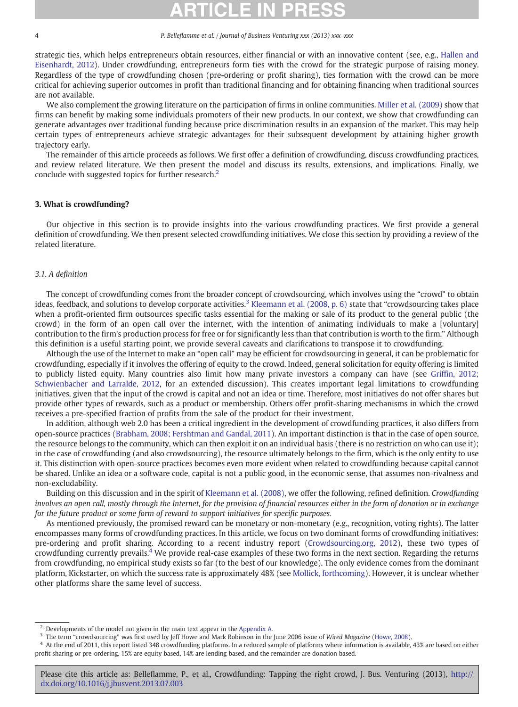strategic ties, which helps entrepreneurs obtain resources, either financial or with an innovative content (see, e.g., [Hallen and](#page-24-0) [Eisenhardt, 2012](#page-24-0)). Under crowdfunding, entrepreneurs form ties with the crowd for the strategic purpose of raising money. Regardless of the type of crowdfunding chosen (pre-ordering or profit sharing), ties formation with the crowd can be more critical for achieving superior outcomes in profit than traditional financing and for obtaining financing when traditional sources are not available.

We also complement the growing literature on the participation of firms in online communities. [Miller et al. \(2009\)](#page-24-0) show that firms can benefit by making some individuals promoters of their new products. In our context, we show that crowdfunding can generate advantages over traditional funding because price discrimination results in an expansion of the market. This may help certain types of entrepreneurs achieve strategic advantages for their subsequent development by attaining higher growth trajectory early.

The remainder of this article proceeds as follows. We first offer a definition of crowdfunding, discuss crowdfunding practices, and review related literature. We then present the model and discuss its results, extensions, and implications. Finally, we conclude with suggested topics for further research.<sup>2</sup>

# 3. What is crowdfunding?

Our objective in this section is to provide insights into the various crowdfunding practices. We first provide a general definition of crowdfunding. We then present selected crowdfunding initiatives. We close this section by providing a review of the related literature.

# 3.1. A definition

The concept of crowdfunding comes from the broader concept of crowdsourcing, which involves using the "crowd" to obtain ideas, feedback, and solutions to develop corporate activities.<sup>3</sup> [Kleemann et al. \(2008, p. 6\)](#page-24-0) state that "crowdsourcing takes place when a profit-oriented firm outsources specific tasks essential for the making or sale of its product to the general public (the crowd) in the form of an open call over the internet, with the intention of animating individuals to make a [voluntary] contribution to the firm's production process for free or for significantly less than that contribution is worth to the firm." Although this definition is a useful starting point, we provide several caveats and clarifications to transpose it to crowdfunding.

Although the use of the Internet to make an "open call" may be efficient for crowdsourcing in general, it can be problematic for crowdfunding, especially if it involves the offering of equity to the crowd. Indeed, general solicitation for equity offering is limited to publicly listed equity. Many countries also limit how many private investors a company can have (see [Griffin, 2012;](#page-24-0) [Schwienbacher and Larralde, 2012,](#page-24-0) for an extended discussion). This creates important legal limitations to crowdfunding initiatives, given that the input of the crowd is capital and not an idea or time. Therefore, most initiatives do not offer shares but provide other types of rewards, such as a product or membership. Others offer profit-sharing mechanisms in which the crowd receives a pre-specified fraction of profits from the sale of the product for their investment.

In addition, although web 2.0 has been a critical ingredient in the development of crowdfunding practices, it also differs from open-source practices ([Brabham, 2008; Fershtman and Gandal, 2011\)](#page-24-0). An important distinction is that in the case of open source, the resource belongs to the community, which can then exploit it on an individual basis (there is no restriction on who can use it); in the case of crowdfunding (and also crowdsourcing), the resource ultimately belongs to the firm, which is the only entity to use it. This distinction with open-source practices becomes even more evident when related to crowdfunding because capital cannot be shared. Unlike an idea or a software code, capital is not a public good, in the economic sense, that assumes non-rivalness and non-excludability.

Building on this discussion and in the spirit of [Kleemann et al. \(2008\),](#page-24-0) we offer the following, refined definition. Crowdfunding involves an open call, mostly through the Internet, for the provision of financial resources either in the form of donation or in exchange for the future product or some form of reward to support initiatives for specific purposes.

As mentioned previously, the promised reward can be monetary or non-monetary (e.g., recognition, voting rights). The latter encompasses many forms of crowdfunding practices. In this article, we focus on two dominant forms of crowdfunding initiatives: pre-ordering and profit sharing. According to a recent industry report ([Crowdsourcing.org, 2012\)](#page-24-0), these two types of crowdfunding currently prevails.4 We provide real-case examples of these two forms in the next section. Regarding the returns from crowdfunding, no empirical study exists so far (to the best of our knowledge). The only evidence comes from the dominant platform, Kickstarter, on which the success rate is approximately 48% (see [Mollick, forthcoming\)](#page-24-0). However, it is unclear whether other platforms share the same level of success.

 $2$  Developments of the model not given in the main text appear in the [Appendix A](#page-18-0).

<sup>3</sup> The term "crowdsourcing" was first used by Jeff Howe and Mark Robinson in the June 2006 issue of Wired Magazine ([Howe, 2008\)](#page-24-0).

<span id="page-3-0"></span><sup>4</sup> At the end of 2011, this report listed 348 crowdfunding platforms. In a reduced sample of platforms where information is available, 43% are based on either profit sharing or pre-ordering, 15% are equity based, 14% are lending based, and the remainder are donation based.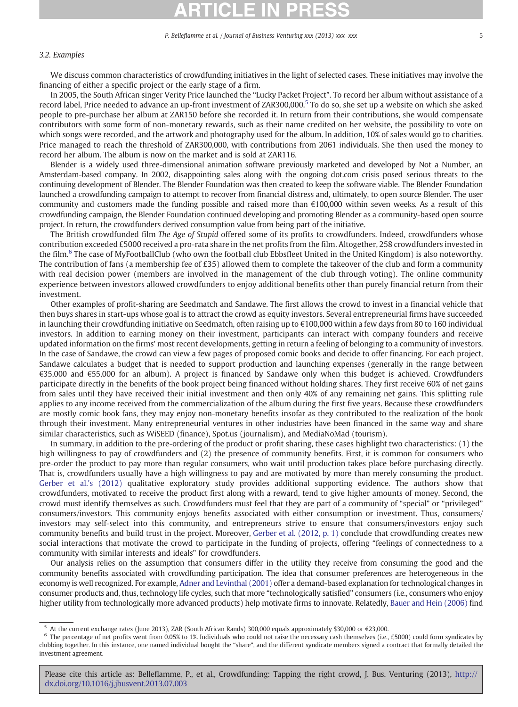# 3.2. Examples

We discuss common characteristics of crowdfunding initiatives in the light of selected cases. These initiatives may involve the financing of either a specific project or the early stage of a firm.

In 2005, the South African singer Verity Price launched the "Lucky Packet Project". To record her album without assistance of a record label, Price needed to advance an up-front investment of ZAR300,000.<sup>5</sup> To do so, she set up a website on which she asked people to pre-purchase her album at ZAR150 before she recorded it. In return from their contributions, she would compensate contributors with some form of non-monetary rewards, such as their name credited on her website, the possibility to vote on which songs were recorded, and the artwork and photography used for the album. In addition, 10% of sales would go to charities. Price managed to reach the threshold of ZAR300,000, with contributions from 2061 individuals. She then used the money to record her album. The album is now on the market and is sold at ZAR116.

Blender is a widely used three-dimensional animation software previously marketed and developed by Not a Number, an Amsterdam-based company. In 2002, disappointing sales along with the ongoing dot.com crisis posed serious threats to the continuing development of Blender. The Blender Foundation was then created to keep the software viable. The Blender Foundation launched a crowdfunding campaign to attempt to recover from financial distress and, ultimately, to open source Blender. The user community and customers made the funding possible and raised more than €100,000 within seven weeks. As a result of this crowdfunding campaign, the Blender Foundation continued developing and promoting Blender as a community-based open source project. In return, the crowdfunders derived consumption value from being part of the initiative.

The British crowdfunded film The Age of Stupid offered some of its profits to crowdfunders. Indeed, crowdfunders whose contribution exceeded £5000 received a pro-rata share in the net profits from the film. Altogether, 258 crowdfunders invested in the film.<sup>6</sup> The case of MyFootballClub (who own the football club Ebbsfleet United in the United Kingdom) is also noteworthy. The contribution of fans (a membership fee of  $E$ 35) allowed them to complete the takeover of the club and form a community with real decision power (members are involved in the management of the club through voting). The online community experience between investors allowed crowdfunders to enjoy additional benefits other than purely financial return from their investment.

Other examples of profit-sharing are Seedmatch and Sandawe. The first allows the crowd to invest in a financial vehicle that then buys shares in start-ups whose goal is to attract the crowd as equity investors. Several entrepreneurial firms have succeeded in launching their crowdfunding initiative on Seedmatch, often raising up to €100,000 within a few days from 80 to 160 individual investors. In addition to earning money on their investment, participants can interact with company founders and receive updated information on the firms' most recent developments, getting in return a feeling of belonging to a community of investors. In the case of Sandawe, the crowd can view a few pages of proposed comic books and decide to offer financing. For each project, Sandawe calculates a budget that is needed to support production and launching expenses (generally in the range between €35,000 and €55,000 for an album). A project is financed by Sandawe only when this budget is achieved. Crowdfunders participate directly in the benefits of the book project being financed without holding shares. They first receive 60% of net gains from sales until they have received their initial investment and then only 40% of any remaining net gains. This splitting rule applies to any income received from the commercialization of the album during the first five years. Because these crowdfunders are mostly comic book fans, they may enjoy non-monetary benefits insofar as they contributed to the realization of the book through their investment. Many entrepreneurial ventures in other industries have been financed in the same way and share similar characteristics, such as WiSEED (finance), Spot.us (journalism), and MediaNoMad (tourism).

In summary, in addition to the pre-ordering of the product or profit sharing, these cases highlight two characteristics: (1) the high willingness to pay of crowdfunders and (2) the presence of community benefits. First, it is common for consumers who pre-order the product to pay more than regular consumers, who wait until production takes place before purchasing directly. That is, crowdfunders usually have a high willingness to pay and are motivated by more than merely consuming the product. [Gerber et al.'s \(2012\)](#page-24-0) qualitative exploratory study provides additional supporting evidence. The authors show that crowdfunders, motivated to receive the product first along with a reward, tend to give higher amounts of money. Second, the crowd must identify themselves as such. Crowdfunders must feel that they are part of a community of "special" or "privileged" consumers/investors. This community enjoys benefits associated with either consumption or investment. Thus, consumers/ investors may self-select into this community, and entrepreneurs strive to ensure that consumers/investors enjoy such community benefits and build trust in the project. Moreover, [Gerber et al. \(2012, p. 1\)](#page-24-0) conclude that crowdfunding creates new social interactions that motivate the crowd to participate in the funding of projects, offering "feelings of connectedness to a community with similar interests and ideals" for crowdfunders.

Our analysis relies on the assumption that consumers differ in the utility they receive from consuming the good and the community benefits associated with crowdfunding participation. The idea that consumer preferences are heterogeneous in the economy is well recognized. For example, [Adner and Levinthal \(2001\)](#page-24-0) offer a demand-based explanation for technological changes in consumer products and, thus, technology life cycles, such that more "technologically satisfied" consumers (i.e., consumers who enjoy higher utility from technologically more advanced products) help motivate firms to innovate. Relatedly, [Bauer and Hein \(2006\)](#page-24-0) find

<sup>5</sup> At the current exchange rates (June 2013), ZAR (South African Rands) 300,000 equals approximately \$30,000 or €23,000.

 $6$  The percentage of net profits went from 0.05% to 1%. Individuals who could not raise the necessary cash themselves (i.e., £5000) could form syndicates by clubbing together. In this instance, one named individual bought the "share", and the different syndicate members signed a contract that formally detailed the investment agreement.

Please cite this article as: Belleflamme, P., et al., Crowdfunding: Tapping the right crowd, J. Bus. Venturing (2013), [http://](http://dx.doi.org/10.1016/j.jbusvent.2013.07.003) [dx.doi.org/10.1016/j.jbusvent.2013.07.003](http://dx.doi.org/10.1016/j.jbusvent.2013.07.003)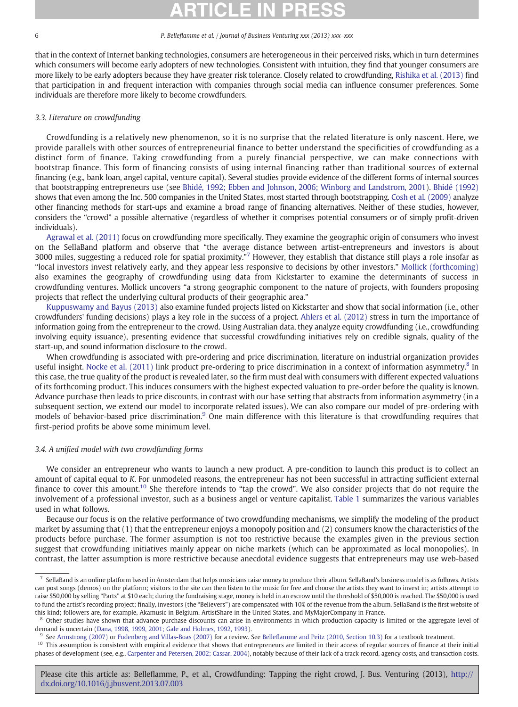that in the context of Internet banking technologies, consumers are heterogeneous in their perceived risks, which in turn determines which consumers will become early adopters of new technologies. Consistent with intuition, they find that younger consumers are more likely to be early adopters because they have greater risk tolerance. Closely related to crowdfunding, [Rishika et al. \(2013\)](#page-24-0) find that participation in and frequent interaction with companies through social media can influence consumer preferences. Some individuals are therefore more likely to become crowdfunders.

# 3.3. Literature on crowdfunding

Crowdfunding is a relatively new phenomenon, so it is no surprise that the related literature is only nascent. Here, we provide parallels with other sources of entrepreneurial finance to better understand the specificities of crowdfunding as a distinct form of finance. Taking crowdfunding from a purely financial perspective, we can make connections with bootstrap finance. This form of financing consists of using internal financing rather than traditional sources of external financing (e.g., bank loan, angel capital, venture capital). Several studies provide evidence of the different forms of internal sources that bootstrapping entrepreneurs use (see [Bhidé, 1992; Ebben and Johnson, 2006; Winborg and Landstrom, 2001](#page-24-0)). [Bhidé \(1992\)](#page-24-0) shows that even among the Inc. 500 companies in the United States, most started through bootstrapping. [Cosh et al. \(2009\)](#page-24-0) analyze other financing methods for start-ups and examine a broad range of financing alternatives. Neither of these studies, however, considers the "crowd" a possible alternative (regardless of whether it comprises potential consumers or of simply profit-driven individuals).

[Agrawal et al. \(2011\)](#page-24-0) focus on crowdfunding more specifically. They examine the geographic origin of consumers who invest on the SellaBand platform and observe that "the average distance between artist-entrepreneurs and investors is about 3000 miles, suggesting a reduced role for spatial proximity."<sup>7</sup> However, they establish that distance still plays a role insofar as "local investors invest relatively early, and they appear less responsive to decisions by other investors." [Mollick \(forthcoming\)](#page-24-0) also examines the geography of crowdfunding using data from Kickstarter to examine the determinants of success in crowdfunding ventures. Mollick uncovers "a strong geographic component to the nature of projects, with founders proposing projects that reflect the underlying cultural products of their geographic area."

[Kuppuswamy and Bayus \(2013\)](#page-24-0) also examine funded projects listed on Kickstarter and show that social information (i.e., other crowdfunders' funding decisions) plays a key role in the success of a project. [Ahlers et al. \(2012\)](#page-24-0) stress in turn the importance of information going from the entrepreneur to the crowd. Using Australian data, they analyze equity crowdfunding (i.e., crowdfunding involving equity issuance), presenting evidence that successful crowdfunding initiatives rely on credible signals, quality of the start-up, and sound information disclosure to the crowd.

When crowdfunding is associated with pre-ordering and price discrimination, literature on industrial organization provides useful insight. [Nocke et al. \(2011\)](#page-24-0) link product pre-ordering to price discrimination in a context of information asymmetry.<sup>8</sup> In this case, the true quality of the product is revealed later, so the firm must deal with consumers with different expected valuations of its forthcoming product. This induces consumers with the highest expected valuation to pre-order before the quality is known. Advance purchase then leads to price discounts, in contrast with our base setting that abstracts from information asymmetry (in a subsequent section, we extend our model to incorporate related issues). We can also compare our model of pre-ordering with models of behavior-based price discrimination.<sup>9</sup> One main difference with this literature is that crowdfunding requires that first-period profits be above some minimum level.

# 3.4. A unified model with two crowdfunding forms

We consider an entrepreneur who wants to launch a new product. A pre-condition to launch this product is to collect an amount of capital equal to K. For unmodeled reasons, the entrepreneur has not been successful in attracting sufficient external finance to cover this amount.<sup>10</sup> She therefore intends to "tap the crowd". We also consider projects that do not require the involvement of a professional investor, such as a business angel or venture capitalist. [Table 1](#page-6-0) summarizes the various variables used in what follows.

Because our focus is on the relative performance of two crowdfunding mechanisms, we simplify the modeling of the product market by assuming that (1) that the entrepreneur enjoys a monopoly position and (2) consumers know the characteristics of the products before purchase. The former assumption is not too restrictive because the examples given in the previous section suggest that crowdfunding initiatives mainly appear on niche markets (which can be approximated as local monopolies). In contrast, the latter assumption is more restrictive because anecdotal evidence suggests that entrepreneurs may use web-based

 $^7$  SellaBand is an online platform based in Amsterdam that helps musicians raise money to produce their album. SellaBand's business model is as follows. Artists can post songs (demos) on the platform; visitors to the site can then listen to the music for free and choose the artists they want to invest in; artists attempt to raise \$50,000 by selling "Parts" at \$10 each; during the fundraising stage, money is held in an escrow until the threshold of \$50,000 is reached. The \$50,000 is used to fund the artist's recording project; finally, investors (the "Believers") are compensated with 10% of the revenue from the album. SellaBand is the first website of this kind; followers are, for example, Akamusic in Belgium, ArtistShare in the United States, and MyMajorCompany in France.

<sup>&</sup>lt;sup>8</sup> Other studies have shown that advance-purchase discounts can arise in environments in which production capacity is limited or the aggregate level of demand is uncertain ([Dana, 1998, 1999, 2001; Gale and Holmes, 1992, 1993\)](#page-24-0).

 $9$  See [Armstrong \(2007\)](#page-24-0) or [Fudenberg and Villas-Boas \(2007\)](#page-24-0) for a review. See Bellefl[amme and Peitz \(2010, Section 10.3\)](#page-24-0) for a textbook treatment.

<sup>&</sup>lt;sup>10</sup> This assumption is consistent with empirical evidence that shows that entrepreneurs are limited in their access of regular sources of finance at their initial phases of development (see, e.g., [Carpenter and Petersen, 2002; Cassar, 2004\)](#page-24-0), notably because of their lack of a track record, agency costs, and transaction costs.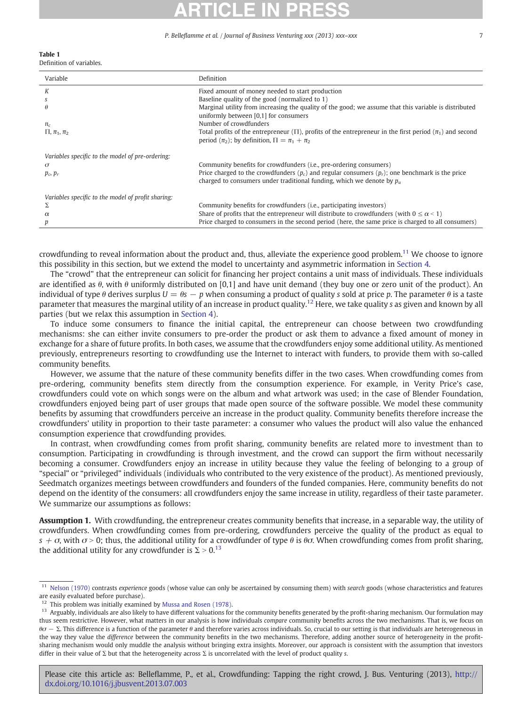# Table 1

Definition of variables.

| Variable                                           | Definition                                                                                                                                                                     |  |
|----------------------------------------------------|--------------------------------------------------------------------------------------------------------------------------------------------------------------------------------|--|
| К                                                  | Fixed amount of money needed to start production                                                                                                                               |  |
|                                                    | Baseline quality of the good (normalized to 1)                                                                                                                                 |  |
|                                                    | Marginal utility from increasing the quality of the good; we assume that this variable is distributed<br>uniformly between [0,1] for consumers                                 |  |
| $n_c$                                              | Number of crowdfunders                                                                                                                                                         |  |
| $\Pi$ , $\pi_1$ , $\pi_2$                          | Total profits of the entrepreneur ( $\Pi$ ), profits of the entrepreneur in the first period ( $\pi_1$ ) and second<br>period $(\pi_2)$ ; by definition, $\Pi = \pi_1 + \pi_2$ |  |
| Variables specific to the model of pre-ordering:   |                                                                                                                                                                                |  |
| $\sigma$                                           | Community benefits for crowdfunders ( <i>i.e.</i> , pre-ordering consumers)                                                                                                    |  |
| $p_c$ , $p_r$                                      | Price charged to the crowdfunders $(p_c)$ and regular consumers $(p_r)$ ; one benchmark is the price                                                                           |  |
|                                                    | charged to consumers under traditional funding, which we denote by $p_u$                                                                                                       |  |
| Variables specific to the model of profit sharing: |                                                                                                                                                                                |  |
| Σ                                                  | Community benefits for crowdfunders (i.e., participating investors)                                                                                                            |  |
| $\alpha$                                           | Share of profits that the entrepreneur will distribute to crowdfunders (with $0 \le \alpha < 1$ )                                                                              |  |
|                                                    | Price charged to consumers in the second period (here, the same price is charged to all consumers)                                                                             |  |

crowdfunding to reveal information about the product and, thus, alleviate the experience good problem.<sup>11</sup> We choose to ignore this possibility in this section, but we extend the model to uncertainty and asymmetric information in [Section 4.](#page-12-0)

The "crowd" that the entrepreneur can solicit for financing her project contains a unit mass of individuals. These individuals are identified as  $\theta$ , with  $\theta$  uniformly distributed on [0,1] and have unit demand (they buy one or zero unit of the product). An individual of type  $\theta$  derives surplus  $U = \theta s - p$  when consuming a product of quality s sold at price p. The parameter  $\theta$  is a taste parameter that measures the marginal utility of an increase in product quality.<sup>12</sup> Here, we take quality s as given and known by all parties (but we relax this assumption in [Section 4\)](#page-12-0).

To induce some consumers to finance the initial capital, the entrepreneur can choose between two crowdfunding mechanisms: she can either invite consumers to pre-order the product or ask them to advance a fixed amount of money in exchange for a share of future profits. In both cases, we assume that the crowdfunders enjoy some additional utility. As mentioned previously, entrepreneurs resorting to crowdfunding use the Internet to interact with funders, to provide them with so-called community benefits.

However, we assume that the nature of these community benefits differ in the two cases. When crowdfunding comes from pre-ordering, community benefits stem directly from the consumption experience. For example, in Verity Price's case, crowdfunders could vote on which songs were on the album and what artwork was used; in the case of Blender Foundation, crowdfunders enjoyed being part of user groups that made open source of the software possible. We model these community benefits by assuming that crowdfunders perceive an increase in the product quality. Community benefits therefore increase the crowdfunders' utility in proportion to their taste parameter: a consumer who values the product will also value the enhanced consumption experience that crowdfunding provides.

In contrast, when crowdfunding comes from profit sharing, community benefits are related more to investment than to consumption. Participating in crowdfunding is through investment, and the crowd can support the firm without necessarily becoming a consumer. Crowdfunders enjoy an increase in utility because they value the feeling of belonging to a group of "special" or "privileged" individuals (individuals who contributed to the very existence of the product). As mentioned previously, Seedmatch organizes meetings between crowdfunders and founders of the funded companies. Here, community benefits do not depend on the identity of the consumers: all crowdfunders enjoy the same increase in utility, regardless of their taste parameter. We summarize our assumptions as follows:

Assumption 1. With crowdfunding, the entrepreneur creates community benefits that increase, in a separable way, the utility of crowdfunders. When crowdfunding comes from pre-ordering, crowdfunders perceive the quality of the product as equal to  $s + \sigma$ , with  $\sigma > 0$ ; thus, the additional utility for a crowdfunder of type  $\theta$  is  $\theta\sigma$ . When crowdfunding comes from profit sharing, the additional utility for any crowdfunder is  $\Sigma > 0$ .<sup>13</sup>

<sup>&</sup>lt;sup>11</sup> [Nelson \(1970\)](#page-24-0) contrasts experience goods (whose value can only be ascertained by consuming them) with search goods (whose characteristics and features are easily evaluated before purchase).

<sup>&</sup>lt;sup>12</sup> This problem was initially examined by [Mussa and Rosen \(1978\)](#page-24-0).

<span id="page-6-0"></span><sup>&</sup>lt;sup>13</sup> Arguably, individuals are also likely to have different valuations for the community benefits generated by the profit-sharing mechanism. Our formulation may thus seem restrictive. However, what matters in our analysis is how individuals compare community benefits across the two mechanisms. That is, we focus on  $\theta\sigma$  –  $\Sigma$ . This difference is a function of the parameter  $\theta$  and therefore varies across individuals. So, crucial to our setting is that individuals are heterogeneous in the way they value the difference between the community benefits in the two mechanisms. Therefore, adding another source of heterogeneity in the profitsharing mechanism would only muddle the analysis without bringing extra insights. Moreover, our approach is consistent with the assumption that investors differ in their value of Σ but that the heterogeneity across Σ is uncorrelated with the level of product quality s.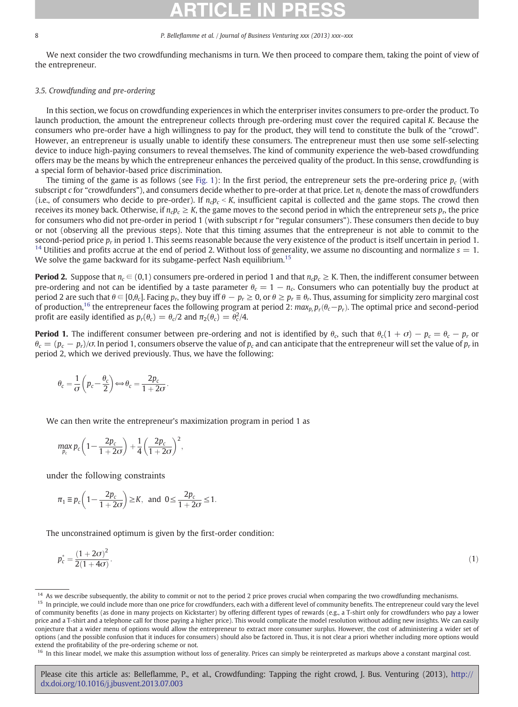We next consider the two crowdfunding mechanisms in turn. We then proceed to compare them, taking the point of view of the entrepreneur.

# 3.5. Crowdfunding and pre-ordering

In this section, we focus on crowdfunding experiences in which the enterpriser invites consumers to pre-order the product. To launch production, the amount the entrepreneur collects through pre-ordering must cover the required capital K. Because the consumers who pre-order have a high willingness to pay for the product, they will tend to constitute the bulk of the "crowd". However, an entrepreneur is usually unable to identify these consumers. The entrepreneur must then use some self-selecting device to induce high-paying consumers to reveal themselves. The kind of community experience the web-based crowdfunding offers may be the means by which the entrepreneur enhances the perceived quality of the product. In this sense, crowdfunding is a special form of behavior-based price discrimination.

The timing of the game is as follows (see [Fig. 1\)](#page-8-0): In the first period, the entrepreneur sets the pre-ordering price  $p_c$  (with subscript c for "crowdfunders"), and consumers decide whether to pre-order at that price. Let  $n_c$  denote the mass of crowdfunders (i.e., of consumers who decide to pre-order). If  $n_c p_c \le K$ , insufficient capital is collected and the game stops. The crowd then receives its money back. Otherwise, if  $n_c p_c \geq K$ , the game moves to the second period in which the entrepreneur sets  $p_r$ , the price for consumers who did not pre-order in period 1 (with subscript r for "regular consumers"). These consumers then decide to buy or not (observing all the previous steps). Note that this timing assumes that the entrepreneur is not able to commit to the second-period price  $p_r$  in period 1. This seems reasonable because the very existence of the product is itself uncertain in period 1.<br><sup>14</sup> Utilities and profits accrue at the end of period 2. Without loss of generality, We solve the game backward for its subgame-perfect Nash equilibrium.<sup>15</sup>

**Period 2.** Suppose that  $n_c \in (0,1)$  consumers pre-ordered in period 1 and that  $n_c p_c \ge K$ . Then, the indifferent consumer between pre-ordering and not can be identified by a taste parameter  $\theta_c = 1 - n_c$ . Consumers who can potentially buy the product at period 2 are such that  $\theta \in [0,\theta_c]$ . Facing  $p_r$ , they buy iff  $\theta - p_r \ge 0$ , or  $\theta \ge p_r \equiv \theta_r$ . Thus, assuming for simplicity zero marginal cost of production,<sup>16</sup> the entrepreneur faces the following program at period 2:  $max_p p_r(\theta_c-p_r)$ . The optimal price and second-period profit are easily identified as  $p_{r}(\theta_c)=\theta_c/2$  and  $\pi_2(\theta_c)=\theta_c^2/4.$ 

**Period 1.** The indifferent consumer between pre-ordering and not is identified by  $\theta_c$ , such that  $\theta_c(1 + \sigma) - p_c = \theta_c - p_r$  or  $\theta_c = (p_c - p_r)/\sigma$ . In period 1, consumers observe the value of  $p_c$  and can anticipate that the entrepreneur will set the value of  $p_r$  in period 2, which we derived previously. Thus, we have the following:

$$
\theta_c = \frac{1}{\sigma} \left( p_c - \frac{\theta_c}{2} \right) \Longleftrightarrow \theta_c = \frac{2p_c}{1 + 2\sigma}.
$$

We can then write the entrepreneur's maximization program in period 1 as

$$
\max_{p_c} p_c \left(1 - \frac{2p_c}{1+2\sigma}\right) + \frac{1}{4} \left(\frac{2p_c}{1+2\sigma}\right)^2,
$$

under the following constraints

$$
\pi_1 \equiv p_c \left(1 - \frac{2p_c}{1 + 2\sigma}\right) \ge K, \text{ and } 0 \le \frac{2p_c}{1 + 2\sigma} \le 1.
$$

The unconstrained optimum is given by the first-order condition:

$$
p_c^* = \frac{(1+2\sigma)^2}{2(1+4\sigma)}.\tag{1}
$$

<sup>&</sup>lt;sup>14</sup> As we describe subsequently, the ability to commit or not to the period 2 price proves crucial when comparing the two crowdfunding mechanisms.

<sup>&</sup>lt;sup>15</sup> In principle, we could include more than one price for crowdfunders, each with a different level of community benefits. The entrepreneur could vary the level of community benefits (as done in many projects on Kickstarter) by offering different types of rewards (e.g., a T-shirt only for crowdfunders who pay a lower price and a T-shirt and a telephone call for those paying a higher price). This would complicate the model resolution without adding new insights. We can easily conjecture that a wider menu of options would allow the entrepreneur to extract more consumer surplus. However, the cost of administering a wider set of options (and the possible confusion that it induces for consumers) should also be factored in. Thus, it is not clear a priori whether including more options would extend the profitability of the pre-ordering scheme or not.

<span id="page-7-0"></span> $16$  In this linear model, we make this assumption without loss of generality. Prices can simply be reinterpreted as markups above a constant marginal cost.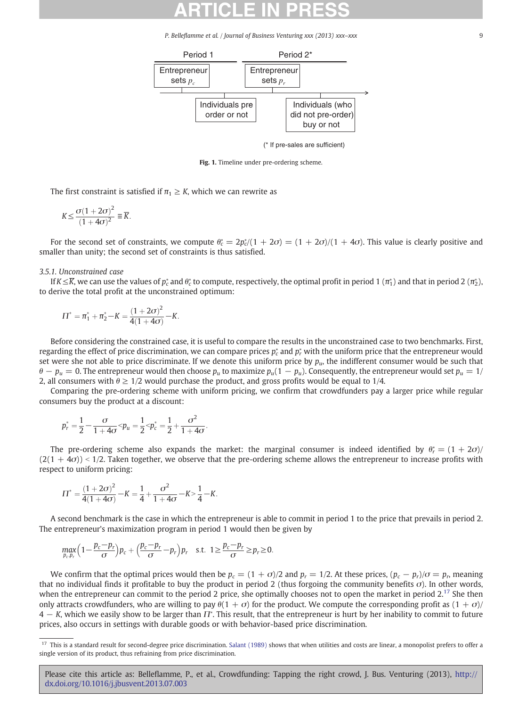

(\* If pre-sales are sufficient)

Fig. 1. Timeline under pre-ordering scheme.

The first constraint is satisfied if  $\pi_1 \geq K$ , which we can rewrite as

$$
K \leq \frac{\sigma (1 + 2\sigma)^2}{(1 + 4\sigma)^2} \equiv \overline{K}.
$$

For the second set of constraints, we compute  $\theta_c^* = 2p_c^*/(1 + 2\sigma) = (1 + 2\sigma)/(1 + 4\sigma)$ . This value is clearly positive and smaller than unity; the second set of constraints is thus satisfied.

# 3.5.1. Unconstrained case

If  $K$   $\le$   $\overline{K}$ , we can use the values of  $p_c^*$  and  $\theta_c^*$  to compute, respectively, the optimal profit in period  $1$   $(\pi_1^*)$  and that in period 2  $(\pi_2^*)$ , to derive the total profit at the unconstrained optimum:

$$
\Pi^* = \pi_1^* + \pi_2^* - K = \frac{(1+2\sigma)^2}{4(1+4\sigma)} - K.
$$

Before considering the constrained case, it is useful to compare the results in the unconstrained case to two benchmarks. First, regarding the effect of price discrimination, we can compare prices  $p_c^*$  and  $p_r^*$  with the uniform price that the entrepreneur would set were she not able to price discriminate. If we denote this uniform price by  $p_u$ , the indifferent consumer would be such that  $\theta - p_u = 0$ . The entrepreneur would then choose  $p_u$  to maximize  $p_u(1 - p_u)$ . Consequently, the entrepreneur would set  $p_u = 1/2$ 2, all consumers with  $\theta \geq 1/2$  would purchase the product, and gross profits would be equal to 1/4.

Comparing the pre-ordering scheme with uniform pricing, we confirm that crowdfunders pay a larger price while regular consumers buy the product at a discount:

$$
p_r^* = \frac{1}{2} - \frac{\sigma}{1 + 4\sigma} \langle p_u = \frac{1}{2} \langle p_c^* = \frac{1}{2} + \frac{\sigma^2}{1 + 4\sigma}.
$$

The pre-ordering scheme also expands the market: the marginal consumer is indeed identified by  $\theta_r^* = (1 + 2\sigma)/2$  $(2(1 + 4\sigma)) < 1/2$ . Taken together, we observe that the pre-ordering scheme allows the entrepreneur to increase profits with respect to uniform pricing:

$$
\Pi^* = \frac{(1+2\sigma)^2}{4(1+4\sigma)} - K = \frac{1}{4} + \frac{\sigma^2}{1+4\sigma} - K > \frac{1}{4} - K.
$$

A second benchmark is the case in which the entrepreneur is able to commit in period 1 to the price that prevails in period 2. The entrepreneur's maximization program in period 1 would then be given by

$$
\max_{p_c,p_r}\Big(1-\frac{p_c-p_r}{\sigma}\Big)p_c+\Big(\frac{p_c-p_r}{\sigma}-p_r\Big)p_r\quad \text{s.t. } 1\geq \frac{p_c-p_r}{\sigma}\geq p_r\geq 0.
$$

We confirm that the optimal prices would then be  $p_c = (1 + \sigma)/2$  and  $p_r = 1/2$ . At these prices,  $(p_c - p_r)/\sigma = p_r$ , meaning that no individual finds it profitable to buy the product in period 2 (thus forgoing the community benefits  $\sigma$ ). In other words, when the entrepreneur can commit to the period 2 price, she optimally chooses not to open the market in period  $2^{17}$  She then only attracts crowdfunders, who are willing to pay  $\theta(1 + \sigma)$  for the product. We compute the corresponding profit as  $(1 + \sigma)$ /  $4 - K$ , which we easily show to be larger than  $\Pi^*$ . This result, that the entrepreneur is hurt by her inability to commit to future prices, also occurs in settings with durable goods or with behavior-based price discrimination.

<span id="page-8-0"></span><sup>&</sup>lt;sup>17</sup> This is a standard result for second-degree price discrimination. [Salant \(1989\)](#page-24-0) shows that when utilities and costs are linear, a monopolist prefers to offer a single version of its product, thus refraining from price discrimination.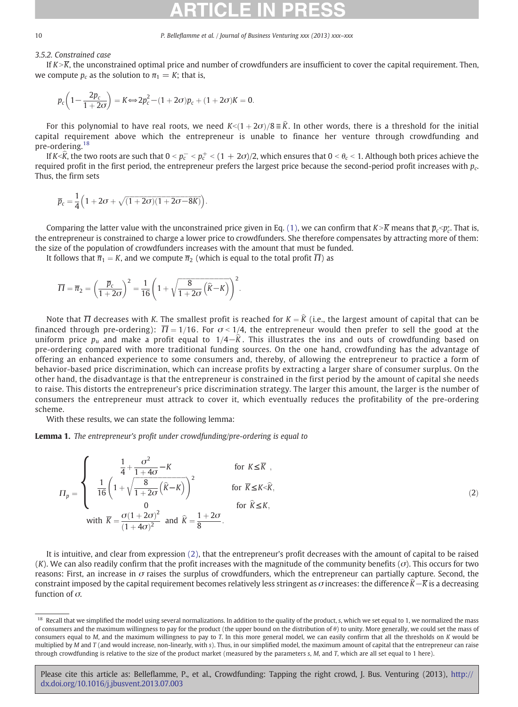# 3.5.2. Constrained case

If  $K \ge \overline{K}$ , the unconstrained optimal price and number of crowdfunders are insufficient to cover the capital requirement. Then, we compute  $p_c$  as the solution to  $\pi_1 = K$ ; that is,

$$
p_c\left(1-\frac{2p_c}{1+2\sigma}\right)=K\!\Leftrightarrow\!2p_c^2-(1+2\sigma)p_c+(1+2\sigma)K=0.
$$

For this polynomial to have real roots, we need  $K<(1+2\sigma)/8\equiv \hat{K}$ . In other words, there is a threshold for the initial capital requirement above which the entrepreneur is unable to finance her venture through crowdfunding and pre-ordering.<sup>18</sup>

If K< $\hat{K}$ , the two roots are such that  $0 < p_c^- < p_c^+ < (1 + 2\sigma)/2$ , which ensures that  $0 < \theta_c < 1$ . Although both prices achieve the required profit in the first period, the entrepreneur prefers the largest price because the second-period profit increases with  $p_c$ . Thus, the firm sets

$$
\overline{p}_c = \frac{1}{4} \Big( 1 + 2\sigma + \sqrt{(1+2\sigma)(1+2\sigma-8K)} \Big).
$$

Comparing the latter value with the unconstrained price given in Eq. [\(1\),](#page-7-0) we can confirm that K>K means that  $\overline{p}_c$ <p $^*_c$ . That is, the entrepreneur is constrained to charge a lower price to crowdfunders. She therefore compensates by attracting more of them: the size of the population of crowdfunders increases with the amount that must be funded.

It follows that  $\overline{n}_1 = K$ , and we compute  $\overline{n}_2$  (which is equal to the total profit  $\overline{\Pi}$ ) as

$$
\overline{\Pi} = \overline{n}_2 = \left(\frac{\overline{p}_c}{1+2\sigma}\right)^2 = \frac{1}{16}\left(1+\sqrt{\frac{8}{1+2\sigma}\left(\widehat{K}-K\right)}\right)^2.
$$

Note that  $\overline{\Pi}$  decreases with K. The smallest profit is reached for  $K = \widehat{K}$  (i.e., the largest amount of capital that can be financed through pre-ordering):  $\overline{\Pi} = 1/16$ . For  $\sigma < 1/4$ , the entrepreneur would then prefer to sell the good at the uniform price  $p_u$  and make a profit equal to  $1/4-\hat{K}$ . This illustrates the ins and outs of crowdfunding based on pre-ordering compared with more traditional funding sources. On the one hand, crowdfunding has the advantage of offering an enhanced experience to some consumers and, thereby, of allowing the entrepreneur to practice a form of behavior-based price discrimination, which can increase profits by extracting a larger share of consumer surplus. On the other hand, the disadvantage is that the entrepreneur is constrained in the first period by the amount of capital she needs to raise. This distorts the entrepreneur's price discrimination strategy. The larger this amount, the larger is the number of consumers the entrepreneur must attrack to cover it, which eventually reduces the profitability of the pre-ordering scheme.

With these results, we can state the following lemma:

Lemma 1. The entrepreneur's profit under crowdfunding/pre-ordering is equal to

$$
\Pi_p = \begin{cases}\n\frac{1}{4} + \frac{\sigma^2}{1 + 4\sigma} - K & \text{for } K \leq \overline{K} ,\\
\frac{1}{16} \left(1 + \sqrt{\frac{8}{1 + 2\sigma} (\hat{K} - K)}\right)^2 & \text{for } \overline{K} \leq K < \hat{K},\\
0 & \text{for } \hat{K} \leq K,\\
\frac{\sigma (1 + 2\sigma)^2}{(1 + 4\sigma)^2} & \text{and } \hat{K} = \frac{1 + 2\sigma}{8}.\n\end{cases}
$$

 $(2)$ 

It is intuitive, and clear from expression [\(2\),](#page-9-0) that the entrepreneur's profit decreases with the amount of capital to be raised  $(K)$ . We can also readily confirm that the profit increases with the magnitude of the community benefits  $(\sigma)$ . This occurs for two reasons: First, an increase in σ raises the surplus of crowdfunders, which the entrepreneur can partially capture. Second, the constraint imposed by the capital requirement becomes relatively less stringent as  $\sigma$  increases: the difference  $K-\overline{K}$  is a decreasing function of  $\sigma$ .

<span id="page-9-0"></span><sup>&</sup>lt;sup>18</sup> Recall that we simplified the model using several normalizations. In addition to the quality of the product, s, which we set equal to 1, we normalized the mass of consumers and the maximum willingness to pay for the product (the upper bound on the distribution of  $θ$ ) to unity. More generally, we could set the mass of consumers equal to M, and the maximum willingness to pay to T. In this more general model, we can easily confirm that all the thresholds on K would be multiplied by M and T (and would increase, non-linearly, with s). Thus, in our simplified model, the maximum amount of capital that the entrepreneur can raise through crowdfunding is relative to the size of the product market (measured by the parameters s, M, and T, which are all set equal to 1 here).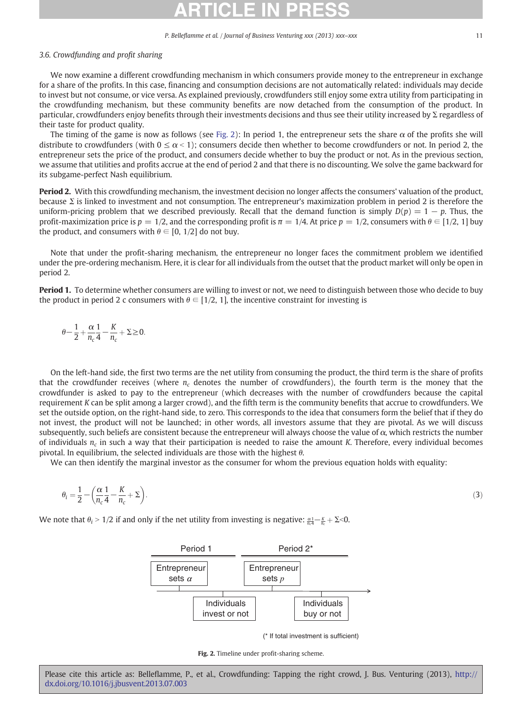# 3.6. Crowdfunding and profit sharing

We now examine a different crowdfunding mechanism in which consumers provide money to the entrepreneur in exchange for a share of the profits. In this case, financing and consumption decisions are not automatically related: individuals may decide to invest but not consume, or vice versa. As explained previously, crowdfunders still enjoy some extra utility from participating in the crowdfunding mechanism, but these community benefits are now detached from the consumption of the product. In particular, crowdfunders enjoy benefits through their investments decisions and thus see their utility increased by  $\Sigma$  regardless of their taste for product quality.

The timing of the game is now as follows (see [Fig. 2\)](#page-10-0): In period 1, the entrepreneur sets the share  $\alpha$  of the profits she will distribute to crowdfunders (with  $0 \le \alpha < 1$ ); consumers decide then whether to become crowdfunders or not. In period 2, the entrepreneur sets the price of the product, and consumers decide whether to buy the product or not. As in the previous section, we assume that utilities and profits accrue at the end of period 2 and that there is no discounting. We solve the game backward for its subgame-perfect Nash equilibrium.

Period 2. With this crowdfunding mechanism, the investment decision no longer affects the consumers' valuation of the product, because  $\Sigma$  is linked to investment and not consumption. The entrepreneur's maximization problem in period 2 is therefore the uniform-pricing problem that we described previously. Recall that the demand function is simply  $D(p)=1 - p$ . Thus, the profit-maximization price is  $p = 1/2$ , and the corresponding profit is  $\pi = 1/4$ . At price  $p = 1/2$ , consumers with  $\theta \in [1/2, 1]$  buy the product, and consumers with  $\theta \in [0, 1/2]$  do not buy.

Note that under the profit-sharing mechanism, the entrepreneur no longer faces the commitment problem we identified under the pre-ordering mechanism. Here, it is clear for all individuals from the outset that the product market will only be open in period 2.

Period 1. To determine whether consumers are willing to invest or not, we need to distinguish between those who decide to buy the product in period 2 c consumers with  $\theta \in [1/2, 1]$ , the incentive constraint for investing is

$$
\theta - \frac{1}{2} + \frac{\alpha}{n_c} \frac{1}{4} - \frac{K}{n_c} + \Sigma \ge 0.
$$

On the left-hand side, the first two terms are the net utility from consuming the product, the third term is the share of profits that the crowdfunder receives (where  $n_c$  denotes the number of crowdfunders), the fourth term is the money that the crowdfunder is asked to pay to the entrepreneur (which decreases with the number of crowdfunders because the capital requirement K can be split among a larger crowd), and the fifth term is the community benefits that accrue to crowdfunders. We set the outside option, on the right-hand side, to zero. This corresponds to the idea that consumers form the belief that if they do not invest, the product will not be launched; in other words, all investors assume that they are pivotal. As we will discuss subsequently, such beliefs are consistent because the entrepreneur will always choose the value of  $\alpha$ , which restricts the number of individuals  $n<sub>c</sub>$  in such a way that their participation is needed to raise the amount K. Therefore, every individual becomes pivotal. In equilibrium, the selected individuals are those with the highest  $\theta$ .

We can then identify the marginal investor as the consumer for whom the previous equation holds with equality:

$$
\theta_i = \frac{1}{2} - \left(\frac{\alpha}{n_c} \frac{1}{4} - \frac{K}{n_c} + \Sigma\right).
$$
\n(3)

<span id="page-10-0"></span>We note that  $\theta_i > 1/2$  if and only if the net utility from investing is negative:  $\frac{\alpha 1}{n_c 4} - \frac{K}{n_c} + \Sigma < 0$ .



Fig. 2. Timeline under profit-sharing scheme.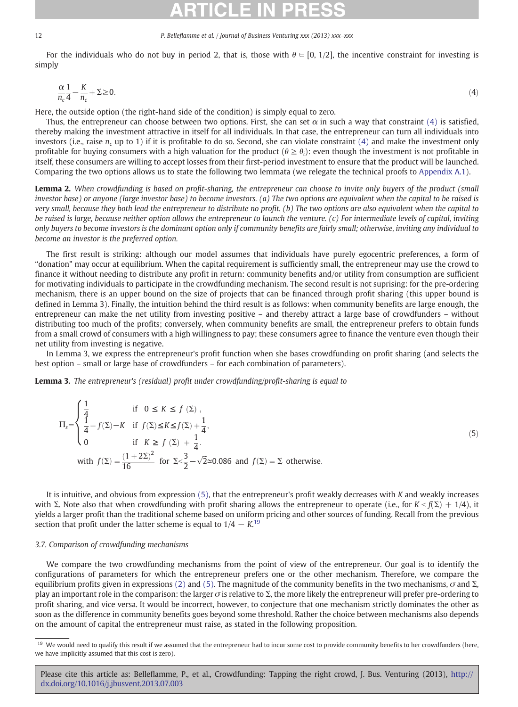For the individuals who do not buy in period 2, that is, those with  $\theta \in [0, 1/2]$ , the incentive constraint for investing is simply

$$
\frac{\alpha}{n_c} \frac{1}{4} - \frac{K}{n_c} + \Sigma \ge 0. \tag{4}
$$

Here, the outside option (the right-hand side of the condition) is simply equal to zero.

Thus, the entrepreneur can choose between two options. First, she can set  $\alpha$  in such a way that constraint [\(4\)](#page-11-0) is satisfied, thereby making the investment attractive in itself for all individuals. In that case, the entrepreneur can turn all individuals into investors (i.e., raise  $n_c$  up to 1) if it is profitable to do so. Second, she can violate constraint [\(4\)](#page-11-0) and make the investment only profitable for buying consumers with a high valuation for the product  $(\theta \ge \theta_i)$ : even though the investment is not profitable in itself, these consumers are willing to accept losses from their first-period investment to ensure that the product will be launched. Comparing the two options allows us to state the following two lemmata (we relegate the technical proofs to [Appendix A.1](#page-18-0)).

Lemma 2. When crowdfunding is based on profit-sharing, the entrepreneur can choose to invite only buyers of the product (small investor base) or anyone (large investor base) to become investors. (a) The two options are equivalent when the capital to be raised is very small, because they both lead the entrepreneur to distribute no profit. (b) The two options are also equivalent when the capital to be raised is large, because neither option allows the entrepreneur to launch the venture. (c) For intermediate levels of capital, inviting only buyers to become investors is the dominant option only if community benefits are fairly small; otherwise, inviting any individual to become an investor is the preferred option.

The first result is striking: although our model assumes that individuals have purely egocentric preferences, a form of "donation" may occur at equilibrium. When the capital requirement is sufficiently small, the entrepreneur may use the crowd to finance it without needing to distribute any profit in return: community benefits and/or utility from consumption are sufficient for motivating individuals to participate in the crowdfunding mechanism. The second result is not suprising: for the pre-ordering mechanism, there is an upper bound on the size of projects that can be financed through profit sharing (this upper bound is defined in Lemma 3). Finally, the intuition behind the third result is as follows: when community benefits are large enough, the entrepreneur can make the net utility from investing positive – and thereby attract a large base of crowdfunders – without distributing too much of the profits; conversely, when community benefits are small, the entrepreneur prefers to obtain funds from a small crowd of consumers with a high willingness to pay; these consumers agree to finance the venture even though their net utility from investing is negative.

In Lemma 3, we express the entrepreneur's profit function when she bases crowdfunding on profit sharing (and selects the best option – small or large base of crowdfunders – for each combination of parameters).

Lemma 3. The entrepreneur's (residual) profit under crowdfunding/profit-sharing is equal to

$$
\Pi_{s} = \begin{cases}\n\frac{1}{4} & \text{if } 0 \le K \le f(\Sigma) , \\
\frac{1}{4} + f(\Sigma) - K & \text{if } f(\Sigma) \le K \le f(\Sigma) + \frac{1}{4}, \\
0 & \text{if } K \ge f(\Sigma) + \frac{1}{4}.\n\end{cases} \tag{5}
$$
\n
$$
\text{with } f(\Sigma) = \frac{(1 + 2\Sigma)^{2}}{16} \text{ for } \Sigma < \frac{3}{2} - \sqrt{2} \approx 0.086 \text{ and } f(\Sigma) = \Sigma \text{ otherwise.}
$$

It is intuitive, and obvious from expression [\(5\)](#page-11-0), that the entrepreneur's profit weakly decreases with K and weakly increases with Σ. Note also that when crowdfunding with profit sharing allows the entrepreneur to operate (i.e., for  $K < f(Σ) + 1/4$ ), it yields a larger profit than the traditional scheme based on uniform pricing and other sources of funding. Recall from the previous section that profit under the latter scheme is equal to  $1/4 - K$ .<sup>19</sup>

# 3.7. Comparison of crowdfunding mechanisms

We compare the two crowdfunding mechanisms from the point of view of the entrepreneur. Our goal is to identify the configurations of parameters for which the entrepreneur prefers one or the other mechanism. Therefore, we compare the equilibrium profits given in expressions [\(2\)](#page-9-0) and [\(5\).](#page-11-0) The magnitude of the community benefits in the two mechanisms, σ and Σ, play an important role in the comparison: the larger σ is relative to Σ, the more likely the entrepreneur will prefer pre-ordering to profit sharing, and vice versa. It would be incorrect, however, to conjecture that one mechanism strictly dominates the other as soon as the difference in community benefits goes beyond some threshold. Rather the choice between mechanisms also depends on the amount of capital the entrepreneur must raise, as stated in the following proposition.

<span id="page-11-0"></span><sup>&</sup>lt;sup>19</sup> We would need to qualify this result if we assumed that the entrepreneur had to incur some cost to provide community benefits to her crowdfunders (here, we have implicitly assumed that this cost is zero).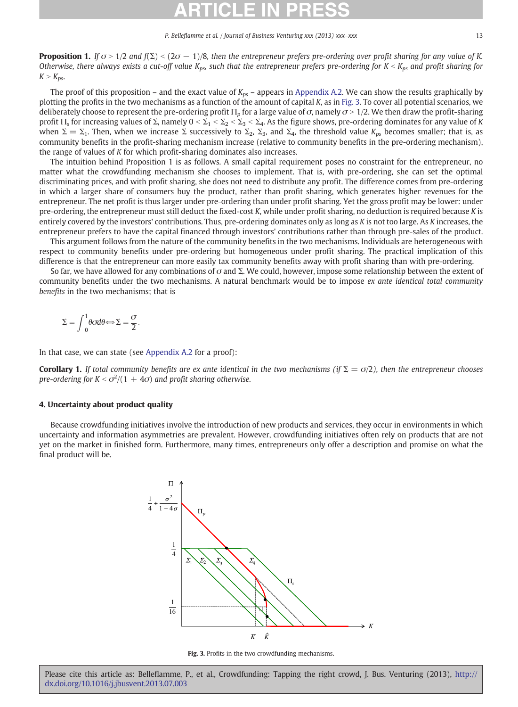**Proposition 1.** If  $\sigma > 1/2$  and  $f(\Sigma) < (2\sigma - 1)/8$ , then the entrepreneur prefers pre-ordering over profit sharing for any value of K. Otherwise, there always exists a cut-off value  $K_{ps}$ , such that the entrepreneur prefers pre-ordering for  $K < K_{ps}$  and profit sharing for  $K > K_{ps}$ .

The proof of this proposition – and the exact value of  $K_{ps}$  – appears in [Appendix A.2](#page-20-0). We can show the results graphically by plotting the profits in the two mechanisms as a function of the amount of capital K, as in [Fig. 3.](#page-12-0) To cover all potential scenarios, we deliberately choose to represent the pre-ordering profit  $\Pi_p$  for a large value of  $\sigma$ , namely  $\sigma > 1/2$ . We then draw the profit-sharing profit Π<sub>s</sub> for increasing values of Σ, namely  $0 < \Sigma_1 < \Sigma_2 < \Sigma_3 < \Sigma_4$ . As the figure shows, pre-ordering dominates for any value of K when  $\Sigma = \Sigma_1$ . Then, when we increase  $\Sigma$  successively to  $\Sigma_2$ ,  $\Sigma_3$ , and  $\Sigma_4$ , the threshold value  $K_{ps}$  becomes smaller; that is, as community benefits in the profit-sharing mechanism increase (relative to community benefits in the pre-ordering mechanism), the range of values of K for which profit-sharing dominates also increases.

The intuition behind Proposition 1 is as follows. A small capital requirement poses no constraint for the entrepreneur, no matter what the crowdfunding mechanism she chooses to implement. That is, with pre-ordering, she can set the optimal discriminating prices, and with profit sharing, she does not need to distribute any profit. The difference comes from pre-ordering in which a larger share of consumers buy the product, rather than profit sharing, which generates higher revenues for the entrepreneur. The net profit is thus larger under pre-ordering than under profit sharing. Yet the gross profit may be lower: under pre-ordering, the entrepreneur must still deduct the fixed-cost K, while under profit sharing, no deduction is required because K is entirely covered by the investors' contributions. Thus, pre-ordering dominates only as long as K is not too large. As K increases, the entrepreneur prefers to have the capital financed through investors' contributions rather than through pre-sales of the product.

This argument follows from the nature of the community benefits in the two mechanisms. Individuals are heterogeneous with respect to community benefits under pre-ordering but homogeneous under profit sharing. The practical implication of this difference is that the entrepreneur can more easily tax community benefits away with profit sharing than with pre-ordering.

So far, we have allowed for any combinations of  $\sigma$  and  $\Sigma$ . We could, however, impose some relationship between the extent of community benefits under the two mechanisms. A natural benchmark would be to impose ex ante identical total community benefits in the two mechanisms; that is

$$
\Sigma = \int_0^1 \theta \sigma d\theta \Longleftrightarrow \Sigma = \frac{\sigma}{2}.
$$

In that case, we can state (see [Appendix A.2](#page-20-0) for a proof):

**Corollary 1.** If total community benefits are ex ante identical in the two mechanisms (if  $\Sigma = \sigma/2$ ), then the entrepreneur chooses pre-ordering for K  $<$   $\sigma^2$ /(1  $+$  4 $\sigma$ ) and profit sharing otherwise.

# 4. Uncertainty about product quality

Because crowdfunding initiatives involve the introduction of new products and services, they occur in environments in which uncertainty and information asymmetries are prevalent. However, crowdfunding initiatives often rely on products that are not yet on the market in finished form. Furthermore, many times, entrepreneurs only offer a description and promise on what the final product will be.



<span id="page-12-0"></span>Fig. 3. Profits in the two crowdfunding mechanisms.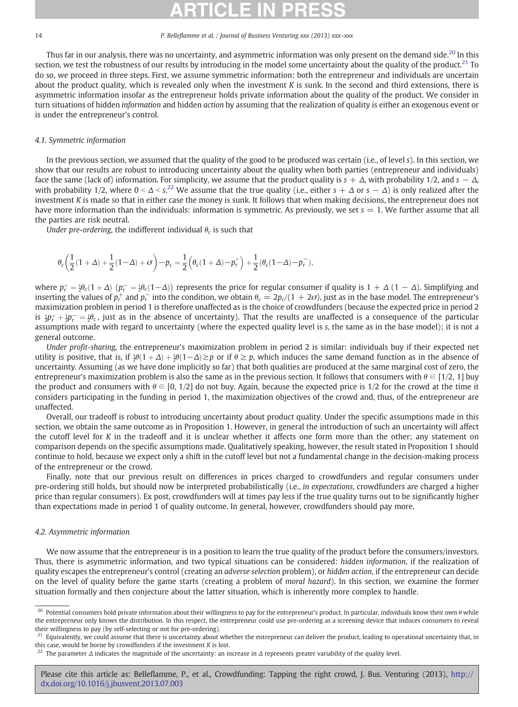Thus far in our analysis, there was no uncertainty, and asymmetric information was only present on the demand side.<sup>20</sup> In this section, we test the robustness of our results by introducing in the model some uncertainty about the quality of the product.<sup>21</sup> To do so, we proceed in three steps. First, we assume symmetric information: both the entrepreneur and individuals are uncertain about the product quality, which is revealed only when the investment K is sunk. In the second and third extensions, there is asymmetric information insofar as the entrepreneur holds private information about the quality of the product. We consider in turn situations of hidden information and hidden action by assuming that the realization of quality is either an exogenous event or is under the entrepreneur's control.

### 4.1. Symmetric information

In the previous section, we assumed that the quality of the good to be produced was certain (i.e., of level s). In this section, we show that our results are robust to introducing uncertainty about the quality when both parties (entrepreneur and individuals) face the same (lack of) information. For simplicity, we assume that the product quality is  $s + \Delta$ , with probability 1/2, and  $s - \Delta$ , with probability 1/2, where  $0 < \Delta < s$ .<sup>22</sup> We assume that the true quality (i.e., either  $s + \Delta$  or  $s - \Delta$ ) is only realized after the investment K is made so that in either case the money is sunk. It follows that when making decisions, the entrepreneur does not have more information than the individuals: information is symmetric. As previously, we set  $s = 1$ . We further assume that all the parties are risk neutral.

Under pre-ordering, the indifferent individual  $\theta_c$  is such that

$$
\theta_c\biggl(\frac{1}{2}(1+\varDelta)+\frac{1}{2}(1-\varDelta)+\sigma\biggr)-p_c=\frac{1}{2}\Bigl(\theta_c(1+\varDelta)-p_r^+\Bigr)+\frac{1}{2}(\theta_c(1-\varDelta)-p_r^-\bigr),
$$

where  $p_r^+ = \frac{1}{2}\theta_c(1+\Delta)$   $(p_r^- = \frac{1}{2}\theta_c(1-\Delta))$  represents the price for regular consumer if quality is  $1 + \Delta (1-\Delta)$ . Simplifying and inserting the values of  $p_r^+$  and  $p_r^-$  into the condition, we obtain  $\theta_c=2p_c/(1\,2\,c)$ , just as in the base model. The entrepreneur's maximization problem in period 1 is therefore unaffected as is the choice of crowdfunders (because the expected price in period 2 is  $\frac{1}{2}p_r^+ + \frac{1}{2}p_r^- = \frac{1}{2}\theta_c$ , just as in the absence of uncertainty). That the results are unaffected is a consequence of the particular assumptions made with regard to uncertainty (where the expected quality level is s, the same as in the base model); it is not a general outcome.

Under profit-sharing, the entrepreneur's maximization problem in period 2 is similar: individuals buy if their expected net utility is positive, that is, if  $\frac{1}{2}\theta(1+\Delta)+\frac{1}{2}\theta(1-\Delta) \geq p$  or if  $\theta \geq p$ , which induces the same demand function as in the absence of uncertainty. Assuming (as we have done implicitly so far) that both qualities are produced at the same marginal cost of zero, the entrepreneur's maximization problem is also the same as in the previous section. It follows that consumers with  $\theta \in [1/2, 1]$  buy the product and consumers with  $\theta \in [0, 1/2]$  do not buy. Again, because the expected price is 1/2 for the crowd at the time it considers participating in the funding in period 1, the maximization objectives of the crowd and, thus, of the entrepreneur are unaffected.

Overall, our tradeoff is robust to introducing uncertainty about product quality. Under the specific assumptions made in this section, we obtain the same outcome as in Proposition 1. However, in general the introduction of such an uncertainty will affect the cutoff level for K in the tradeoff and it is unclear whether it affects one form more than the other; any statement on comparison depends on the specific assumptions made. Qualitatively speaking, however, the result stated in Proposition 1 should continue to hold, because we expect only a shift in the cutoff level but not a fundamental change in the decision-making process of the entrepreneur or the crowd.

Finally, note that our previous result on differences in prices charged to crowdfunders and regular consumers under pre-ordering still holds, but should now be interpreted probabilistically (i.e., in expectations, crowdfunders are charged a higher price than regular consumers). Ex post, crowdfunders will at times pay less if the true quality turns out to be significantly higher than expectations made in period 1 of quality outcome. In general, however, crowdfunders should pay more.

# 4.2. Asymmetric information

We now assume that the entrepreneur is in a position to learn the true quality of the product before the consumers/investors. Thus, there is asymmetric information, and two typical situations can be considered: hidden information, if the realization of quality escapes the entrepreneur's control (creating an *adverse selection* problem), or hidden action, if the entrepreneur can decide on the level of quality before the game starts (creating a problem of moral hazard). In this section, we examine the former situation formally and then conjecture about the latter situation, which is inherently more complex to handle.

<sup>&</sup>lt;sup>20</sup> Potential consumers hold private information about their willingness to pay for the entrepreneur's product. In particular, individuals know their own  $\theta$  while the entrepreneur only knows the distribution. In this respect, the entrepreneur could use pre-ordering as a screening device that induces consumers to reveal their willingness to pay (by self-selecting or not for pre-ordering).

 $21$  Equivalently, we could assume that there is uncertainty about whether the entrepreneur can deliver the product, leading to operational uncertainty that, in this case, would be borne by crowdfunders if the investment  $K$  is lost.

<sup>&</sup>lt;sup>22</sup> The parameter Δ indicates the magnitude of the uncertainty: an increase in Δ represents greater variability of the quality level.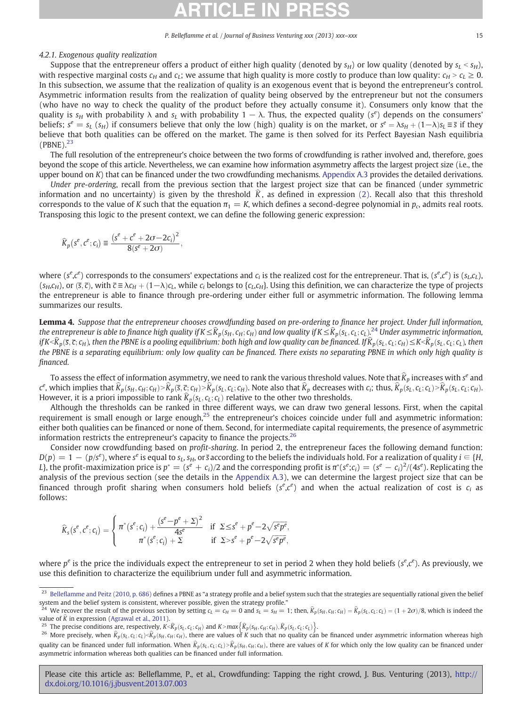# 4.2.1. Exogenous quality realization

Suppose that the entrepreneur offers a product of either high quality (denoted by  $s_H$ ) or low quality (denoted by  $s_L < s_H$ ), with respective marginal costs  $c_H$  and  $c_L$ ; we assume that high quality is more costly to produce than low quality:  $c_H > c_L \ge 0$ . In this subsection, we assume that the realization of quality is an exogenous event that is beyond the entrepreneur's control. Asymmetric information results from the realization of quality being observed by the entrepreneur but not the consumers (who have no way to check the quality of the product before they actually consume it). Consumers only know that the quality is  $s_H$  with probability  $\lambda$  and  $s_L$  with probability  $1-\lambda$ . Thus, the expected quality  $(s^e)$  depends on the consumers' beliefs;  $s^e = s_L (s_H)$  if consumers believe that only the low (high) quality is on the market, or  $s^e = \lambda s_H + (1 - \lambda)s_L \equiv \bar{s}$  if they believe that both qualities can be offered on the market. The game is then solved for its Perfect Bayesian Nash equilibria  $(PBNE)<sup>23</sup>$ 

The full resolution of the entrepreneur's choice between the two forms of crowdfunding is rather involved and, therefore, goes beyond the scope of this article. Nevertheless, we can examine how information asymmetry affects the largest project size (i.e., the upper bound on  $K$ ) that can be financed under the two crowdfunding mechanisms. [Appendix A.3](#page-20-0) provides the detailed derivations.

Under pre-ordering, recall from the previous section that the largest project size that can be financed (under symmetric information and no uncertainty) is given by the threshold  $\hat{K}$ , as defined in expression [\(2\)](#page-9-0). Recall also that this threshold corresponds to the value of K such that the equation  $\pi_1 = K$ , which defines a second-degree polynomial in  $p_c$ , admits real roots. Transposing this logic to the present context, we can define the following generic expression:

$$
\widehat{K}_p(s^e, c^e; c_i) \equiv \frac{(s^e + c^e + 2\sigma - 2c_i)^2}{8(s^e + 2\sigma)},
$$

where  $(s^e, c^e)$  corresponds to the consumers' expectations and  $c_i$  is the realized cost for the entrepreneur. That is,  $(s^e, c^e)$  is  $(s_L, c_L)$ ,  $(s_H, c_H)$ , or  $(\overline{s}, \overline{c})$ , with  $\overline{c} \equiv \lambda c_H + (1 - \lambda)c_L$ , while  $c_i$  belongs to  $\{c_I, c_H\}$ . Using this definition, we can characterize the type of projects the entrepreneur is able to finance through pre-ordering under either full or asymmetric information. The following lemma summarizes our results.

Lemma 4. Suppose that the entrepreneur chooses crowdfunding based on pre-ordering to finance her project. Under full information, the entrepreneur is able to finance high quality if K  $\leq$   $\widehat{K}_p(s_H,c_H;c_H)$  and low quality if K  $\leq$   $\widehat{K}_p(s_L,c_L;c_L)^{24}$  Under asymmetric information, if K< $\widehat{K}_p(\overline{s}, \overline{c}; c_H)$ , then the PBNE is a pooling equilibrium: both high and low quality can be financed. If  $\widehat{K}_p(s_L, c_L; c_H) \leq K < \widehat{K}_p(s_L, c_L; c_L)$ , then the PBNE is a separating equilibrium: only low quality can be financed. There exists no separating PBNE in which only high quality is financed.

To assess the effect of information asymmetry, we need to rank the various threshold values. Note that  $\widehat K_p$  increases with  $s^e$  and  $c^e$ , which implies that  $\widehat{K}_p(s_H, c_H; c_H) > \widehat{K}_p(\overline{s}, \overline{c}; c_H) > \widehat{K}_p(s_L, c_L; c_H)$ . Note also that  $\widehat{K}_p$  decreases with  $c_i$ ; thus,  $\widehat{K}_p(s_L, c_L; c_L) > \widehat{K}_p(s_L, c_L; c_H)$ . However, it is a priori impossible to rank  $\widehat{K}_p(s_L, c_L; c_L)$  relative to the other two thresholds.

Although the thresholds can be ranked in three different ways, we can draw two general lessons. First, when the capital requirement is small enough or large enough, $^{25}$  the entrepreneur's choices coincide under full and asymmetric information: either both qualities can be financed or none of them. Second, for intermediate capital requirements, the presence of asymmetric information restricts the entrepreneur's capacity to finance the projects. $^{26}$ 

Consider now crowdfunding based on profit-sharing. In period 2, the entrepreneur faces the following demand function:  $D(p)=1-(p/s^e)$ , where  $s^e$  is equal to  $s_L,s_H$ , or  $\bar{s}$  according to the beliefs the individuals hold. For a realization of quality  $i\in\{H,$ L), the profit-maximization price is  $p^*=(s^e+c_i)/2$  and the corresponding profit is  $\pi^*(s^e;c_i)=(s^e-c_i)^2/(4s^e)$ . Replicating the analysis of the previous section (see the details in the [Appendix A.3](#page-20-0)), we can determine the largest project size that can be financed through profit sharing when consumers hold beliefs ( $s^e,c^e$ ) and when the actual realization of cost is  $c_i$  as follows:

$$
\widehat{K}_s(s^e, c^e; c_i) = \begin{cases} \pi^*(s^e; c_i) + \frac{(s^e - p^e + \Sigma)^2}{4s^e} & \text{if } \Sigma \le s^e + p^e - 2\sqrt{s^e p^e}, \\ \pi^*(s^e; c_i) + \Sigma & \text{if } \Sigma > s^e + p^e - 2\sqrt{s^e p^e}, \end{cases}
$$

where  $p^e$  is the price the individuals expect the entrepreneur to set in period 2 when they hold beliefs ( $s^e, c^e$ ). As previously, we use this definition to characterize the equilibrium under full and asymmetric information.

<sup>24</sup> We recover the result of the previous section by setting  $c_L = c_H = 0$  and  $s_L = s_H = 1$ ; then,  $\hat{k}_p(s_H, c_H; c_H) = \hat{k}_p(s_L, c_L; c_L) = (1 + 2\sigma)/8$ , which is indeed the value of  $\hat{k}$  in expression (Agrawal et al., 2011). value of K in expression ([Agrawal et al., 2011\)](#page-24-0). <br><sup>25</sup> The precise conditions are, respectively, K< $\widehat{K}_p(s_L, c_L; c_H)$  and K>max { $\widehat{K}_p(s_H, c_H; c_H)$ ,  $\widehat{K}_p(s_L, c_L; c_L)$  }.

<span id="page-14-0"></span><sup>26</sup> More precisely, when  $\hat{K}_p(s_L, c_L; c_L) \leq \hat{K}_p(s_H, c_H; c_H)$ , there are values of K such that no quality can be financed under asymmetric information whereas high quality can be financed under full information. When  $\widehat{K}_p(s_L, c_L; c_L) > \widehat{K}_p(s_H, c_H; c_H)$ , there are values of K for which only the low quality can be financed under asymmetric information whereas both qualities can be financed under full information.

<sup>&</sup>lt;sup>23</sup> Bellefl[amme and Peitz \(2010, p. 686\)](#page-24-0) defines a PBNE as "a strategy profile and a belief system such that the strategies are sequentially rational given the belief system and the belief system is consistent, wherever possible, given the strategy profile."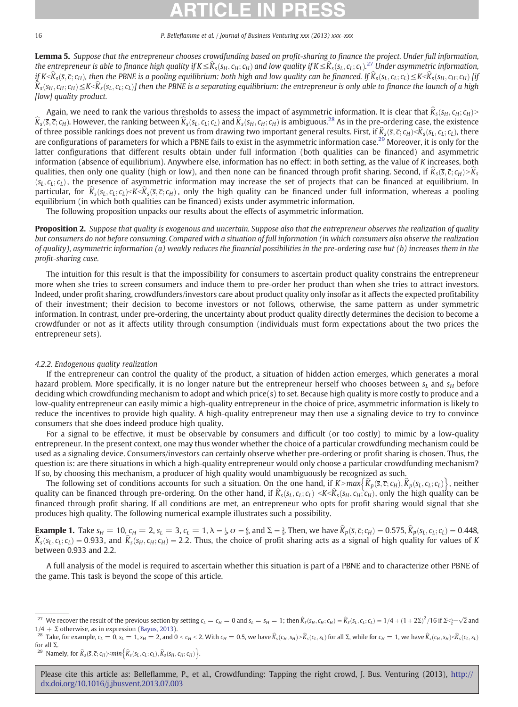Lemma 5. Suppose that the entrepreneur chooses crowdfunding based on profit-sharing to finance the project. Under full information, the entrepreneur is able to finance high quality if  $K \leq \widehat{K}_s(s_H,c_H;c_H)$  and low quality if  $K \leq \widehat{K}_s(s_L,c_L;c_L)^{27}$  Under asymmetric information, if K $\leq \hat{K}_s(\bar{s}, \bar{c}; c_H)$ , then the PBNE is a pooling equilibrium: both high and low quality can be financed. If  $\hat{K}_s(s_L, c_L; c_L) \leq K \leq \hat{K}_s(s_H, c_H; c_H)$  [if  $\hat{K}_s(s_H, c_H; c_H) \leq K \leq \hat{K}_s(s_L, c_L; c_L)$  then the PBNE is a separating equilibrium: the entrepreneur is only able to finance the launch of a high [low] quality product.

Again, we need to rank the various thresholds to assess the impact of asymmetric information. It is clear that  $\hat{K}_s(s_H, c_H; c_H)$  $\widehat{K}_s(\overline{s},\overline{c}; c_H)$ . However, the ranking between  $\widehat{K}_s(s_L,c_L;c_L)$  and  $\widehat{K}_s(s_H,c_H;c_H)$  is ambiguous.<sup>28</sup> As in the pre-ordering case, the existence of three possible rankings does not prevent us from drawing two important general results. First, if  $\hat{K}_s(\bar{s}, \bar{c}; c_H) \leq \hat{K}_s(s_L, c_L; c_L)$ , there are configurations of parameters for which a PBNE fails to exist in the asymmetric information case.<sup>29</sup> Moreover, it is only for the latter configurations that different results obtain under full information (both qualities can be financed) and asymmetric information (absence of equilibrium). Anywhere else, information has no effect: in both setting, as the value of K increases, both qualities, then only one quality (high or low), and then none can be financed through profit sharing. Second, if  $\hat{K}_{\rm s}(\bar{s},\bar{c};c_H) > \hat{K}_{\rm s}$  $(s_l, c_l; c_l)$ , the presence of asymmetric information may increase the set of projects that can be financed at equilibrium. In particular, for  $\hat{K}_{s}(s_L, c_L; c_L) \lt K \lt \hat{K}_{s}(\bar{s}, \bar{c}; c_H)$ , only the high quality can be financed under full information, whereas a pooling equilibrium (in which both qualities can be financed) exists under asymmetric information.

The following proposition unpacks our results about the effects of asymmetric information.

Proposition 2. Suppose that quality is exogenous and uncertain. Suppose also that the entrepreneur observes the realization of quality but consumers do not before consuming. Compared with a situation of full information (in which consumers also observe the realization of quality), asymmetric information (a) weakly reduces the financial possibilities in the pre-ordering case but (b) increases them in the profit-sharing case.

The intuition for this result is that the impossibility for consumers to ascertain product quality constrains the entrepreneur more when she tries to screen consumers and induce them to pre-order her product than when she tries to attract investors. Indeed, under profit sharing, crowdfunders/investors care about product quality only insofar as it affects the expected profitability of their investment; their decision to become investors or not follows, otherwise, the same pattern as under symmetric information. In contrast, under pre-ordering, the uncertainty about product quality directly determines the decision to become a crowdfunder or not as it affects utility through consumption (individuals must form expectations about the two prices the entrepreneur sets).

# 4.2.2. Endogenous quality realization

If the entrepreneur can control the quality of the product, a situation of hidden action emerges, which generates a moral hazard problem. More specifically, it is no longer nature but the entrepreneur herself who chooses between  $s_l$  and  $s_H$  before deciding which crowdfunding mechanism to adopt and which price(s) to set. Because high quality is more costly to produce and a low-quality entrepreneur can easily mimic a high-quality entrepreneur in the choice of price, asymmetric information is likely to reduce the incentives to provide high quality. A high-quality entrepreneur may then use a signaling device to try to convince consumers that she does indeed produce high quality.

For a signal to be effective, it must be observable by consumers and difficult (or too costly) to mimic by a low-quality entrepreneur. In the present context, one may thus wonder whether the choice of a particular crowdfunding mechanism could be used as a signaling device. Consumers/investors can certainly observe whether pre-ordering or profit sharing is chosen. Thus, the question is: are there situations in which a high-quality entrepreneur would only choose a particular crowdfunding mechanism? If so, by choosing this mechanism, a producer of high quality would unambiguously be recognized as such.

The following set of conditions accounts for such a situation. On the one hand, if  $K > max \{\widehat{K}_p(\overline{s}, \overline{c}; c_H), \widehat{K}_p(s_L, c_L; c_L)\}$ , neither quality can be financed through pre-ordering. On the other hand, if  $\hat{K}_{s}(s_L, c_L; c_L) \ll \hat{K}_{s}(s_H, c_H; c_H)$ , only the high quality can be financed through profit sharing. If all conditions are met, an entrepreneur who opts for profit sharing would signal that she produces high quality. The following numerical example illustrates such a possibility.

**Example 1.** Take  $s_H = 10$ ,  $c_H = 2$ ,  $s_L = 3$ ,  $c_L = 1$ ,  $\lambda = \frac{1}{2}$ ,  $\sigma = \frac{6}{5}$ , and  $\Sigma = \frac{3}{5}$ . Then, we have  $K_p(\overline{s}, \overline{c}; c_H) = 0.575$ ,  $K_p(s_L, c_L; c_L) = 0.448$ ,  $\hat{K}_s(s_L, c_L; c_L) = 0.933$ , and  $\hat{K}_s(s_H, c_H; c_H) = 2.2$ . Thus, the choice of profit sharing acts as a signal of high quality for values of K between 0.933 and 2.2.

A full analysis of the model is required to ascertain whether this situation is part of a PBNE and to characterize other PBNE of the game. This task is beyond the scope of this article.

<sup>&</sup>lt;sup>27</sup> We recover the result of the previous section by setting  $c_L = c_H = 0$  and  $s_L = s_H = 1$ ; then  $\widehat{K}_s(s_H, c_H; c_H) = \widehat{K}_s(s_L, c_L; c_L) = 1/4 + (1 + 2\Sigma)^2/16$  if  $\Sigma \leq \frac{1}{2} - \sqrt{2}$  and  $1/4 + \Sigma$  otherwise, as in expression ([Bayus, 2013\)](#page-24-0).

<sup>&</sup>lt;sup>28</sup> Take, for example,  $c_L = 0$ ,  $s_L = 1$ ,  $s_H = 2$ , and  $0 < c_H < 2$ . With  $c_H = 0.5$ , we have  $\hat{K}_s(c_H, s_H) > \hat{K}_s(c_L, s_L)$  for all  $\Sigma$ , while for  $c_H = 1$ , we have  $\hat{K}_s(c_H, s_H) < \hat{K}_s(c_L, s_L)$ for all  $\Sigma$ .

<sup>&</sup>lt;sup>29</sup> Namely, for  $\widehat{K}_s(\overline{s}, \overline{c}; c_H)$  <  $min\Big\{\widehat{K}_s(s_L, c_L; c_L), \widehat{K}_s(s_H, c_H; c_H)\Big\}$ .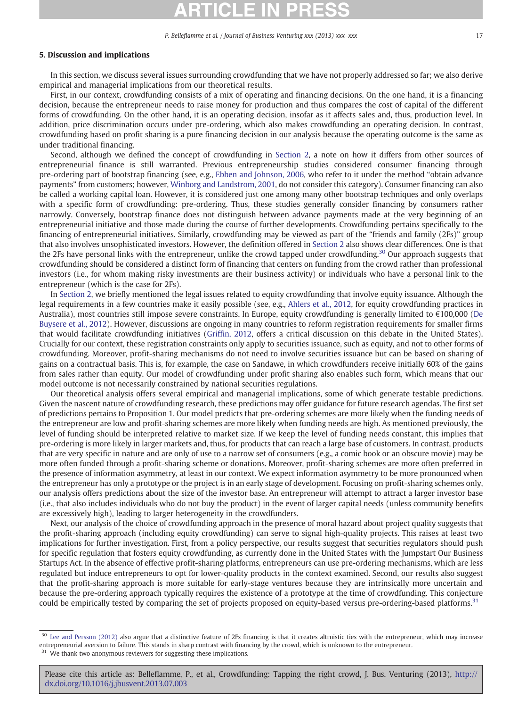# 5. Discussion and implications

In this section, we discuss several issues surrounding crowdfunding that we have not properly addressed so far; we also derive empirical and managerial implications from our theoretical results.

First, in our context, crowdfunding consists of a mix of operating and financing decisions. On the one hand, it is a financing decision, because the entrepreneur needs to raise money for production and thus compares the cost of capital of the different forms of crowdfunding. On the other hand, it is an operating decision, insofar as it affects sales and, thus, production level. In addition, price discrimination occurs under pre-ordering, which also makes crowdfunding an operating decision. In contrast, crowdfunding based on profit sharing is a pure financing decision in our analysis because the operating outcome is the same as under traditional financing.

Second, although we defined the concept of crowdfunding in [Section 2](#page-1-0), a note on how it differs from other sources of entrepreneurial finance is still warranted. Previous entrepreneurship studies considered consumer financing through pre-ordering part of bootstrap financing (see, e.g., [Ebben and Johnson, 2006](#page-24-0), who refer to it under the method "obtain advance payments" from customers; however, [Winborg and Landstrom, 2001](#page-24-0), do not consider this category). Consumer financing can also be called a working capital loan. However, it is considered just one among many other bootstrap techniques and only overlaps with a specific form of crowdfunding: pre-ordering. Thus, these studies generally consider financing by consumers rather narrowly. Conversely, bootstrap finance does not distinguish between advance payments made at the very beginning of an entrepreneurial initiative and those made during the course of further developments. Crowdfunding pertains specifically to the financing of entrepreneurial initiatives. Similarly, crowdfunding may be viewed as part of the "friends and family (2Fs)" group that also involves unsophisticated investors. However, the definition offered in [Section 2](#page-1-0) also shows clear differences. One is that the 2Fs have personal links with the entrepreneur, unlike the crowd tapped under crowdfunding.<sup>30</sup> Our approach suggests that crowdfunding should be considered a distinct form of financing that centers on funding from the crowd rather than professional investors (i.e., for whom making risky investments are their business activity) or individuals who have a personal link to the entrepreneur (which is the case for 2Fs).

In [Section 2,](#page-1-0) we briefly mentioned the legal issues related to equity crowdfunding that involve equity issuance. Although the legal requirements in a few countries make it easily possible (see, e.g., [Ahlers et al., 2012,](#page-24-0) for equity crowdfunding practices in Australia), most countries still impose severe constraints. In Europe, equity crowdfunding is generally limited to €100,000 ([De](#page-24-0) [Buysere et al., 2012](#page-24-0)). However, discussions are ongoing in many countries to reform registration requirements for smaller firms that would facilitate crowdfunding initiatives ([Griffin, 2012](#page-24-0), offers a critical discussion on this debate in the United States). Crucially for our context, these registration constraints only apply to securities issuance, such as equity, and not to other forms of crowdfunding. Moreover, profit-sharing mechanisms do not need to involve securities issuance but can be based on sharing of gains on a contractual basis. This is, for example, the case on Sandawe, in which crowdfunders receive initially 60% of the gains from sales rather than equity. Our model of crowdfunding under profit sharing also enables such form, which means that our model outcome is not necessarily constrained by national securities regulations.

Our theoretical analysis offers several empirical and managerial implications, some of which generate testable predictions. Given the nascent nature of crowdfunding research, these predictions may offer guidance for future research agendas. The first set of predictions pertains to Proposition 1. Our model predicts that pre-ordering schemes are more likely when the funding needs of the entrepreneur are low and profit-sharing schemes are more likely when funding needs are high. As mentioned previously, the level of funding should be interpreted relative to market size. If we keep the level of funding needs constant, this implies that pre-ordering is more likely in larger markets and, thus, for products that can reach a large base of customers. In contrast, products that are very specific in nature and are only of use to a narrow set of consumers (e.g., a comic book or an obscure movie) may be more often funded through a profit-sharing scheme or donations. Moreover, profit-sharing schemes are more often preferred in the presence of information asymmetry, at least in our context. We expect information asymmetry to be more pronounced when the entrepreneur has only a prototype or the project is in an early stage of development. Focusing on profit-sharing schemes only, our analysis offers predictions about the size of the investor base. An entrepreneur will attempt to attract a larger investor base (i.e., that also includes individuals who do not buy the product) in the event of larger capital needs (unless community benefits are excessively high), leading to larger heterogeneity in the crowdfunders.

Next, our analysis of the choice of crowdfunding approach in the presence of moral hazard about project quality suggests that the profit-sharing approach (including equity crowdfunding) can serve to signal high-quality projects. This raises at least two implications for further investigation. First, from a policy perspective, our results suggest that securities regulators should push for specific regulation that fosters equity crowdfunding, as currently done in the United States with the Jumpstart Our Business Startups Act. In the absence of effective profit-sharing platforms, entrepreneurs can use pre-ordering mechanisms, which are less regulated but induce entrepreneurs to opt for lower-quality products in the context examined. Second, our results also suggest that the profit-sharing approach is more suitable for early-stage ventures because they are intrinsically more uncertain and because the pre-ordering approach typically requires the existence of a prototype at the time of crowdfunding. This conjecture could be empirically tested by comparing the set of projects proposed on equity-based versus pre-ordering-based platforms.<sup>31</sup>

 $30$  [Lee and Persson \(2012\)](#page-24-0) also argue that a distinctive feature of 2Fs financing is that it creates altruistic ties with the entrepreneur, which may increase entrepreneurial aversion to failure. This stands in sharp contrast with financing by the crowd, which is unknown to the entrepreneur.

<sup>&</sup>lt;sup>31</sup> We thank two anonymous reviewers for suggesting these implications.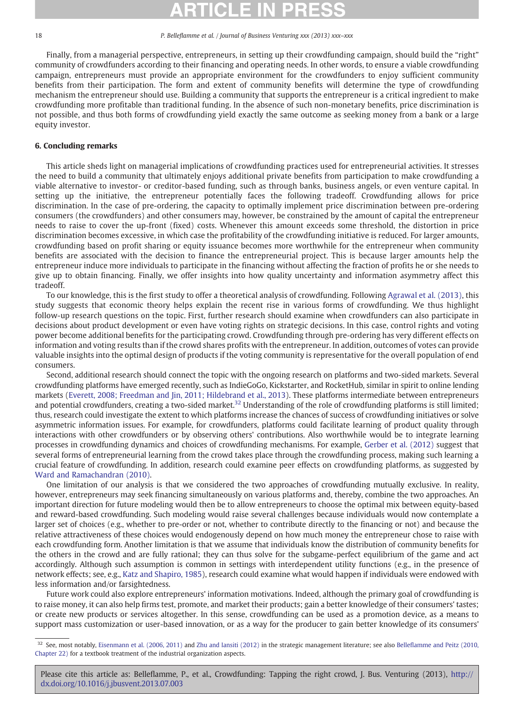Finally, from a managerial perspective, entrepreneurs, in setting up their crowdfunding campaign, should build the "right" community of crowdfunders according to their financing and operating needs. In other words, to ensure a viable crowdfunding campaign, entrepreneurs must provide an appropriate environment for the crowdfunders to enjoy sufficient community benefits from their participation. The form and extent of community benefits will determine the type of crowdfunding mechanism the entrepreneur should use. Building a community that supports the entrepreneur is a critical ingredient to make crowdfunding more profitable than traditional funding. In the absence of such non-monetary benefits, price discrimination is not possible, and thus both forms of crowdfunding yield exactly the same outcome as seeking money from a bank or a large equity investor.

# 6. Concluding remarks

This article sheds light on managerial implications of crowdfunding practices used for entrepreneurial activities. It stresses the need to build a community that ultimately enjoys additional private benefits from participation to make crowdfunding a viable alternative to investor- or creditor-based funding, such as through banks, business angels, or even venture capital. In setting up the initiative, the entrepreneur potentially faces the following tradeoff. Crowdfunding allows for price discrimination. In the case of pre-ordering, the capacity to optimally implement price discrimination between pre-ordering consumers (the crowdfunders) and other consumers may, however, be constrained by the amount of capital the entrepreneur needs to raise to cover the up-front (fixed) costs. Whenever this amount exceeds some threshold, the distortion in price discrimination becomes excessive, in which case the profitability of the crowdfunding initiative is reduced. For larger amounts, crowdfunding based on profit sharing or equity issuance becomes more worthwhile for the entrepreneur when community benefits are associated with the decision to finance the entrepreneurial project. This is because larger amounts help the entrepreneur induce more individuals to participate in the financing without affecting the fraction of profits he or she needs to give up to obtain financing. Finally, we offer insights into how quality uncertainty and information asymmetry affect this tradeoff.

To our knowledge, this is the first study to offer a theoretical analysis of crowdfunding. Following [Agrawal et al. \(2013\),](#page-24-0) this study suggests that economic theory helps explain the recent rise in various forms of crowdfunding. We thus highlight follow-up research questions on the topic. First, further research should examine when crowdfunders can also participate in decisions about product development or even have voting rights on strategic decisions. In this case, control rights and voting power become additional benefits for the participating crowd. Crowdfunding through pre-ordering has very different effects on information and voting results than if the crowd shares profits with the entrepreneur. In addition, outcomes of votes can provide valuable insights into the optimal design of products if the voting community is representative for the overall population of end consumers.

Second, additional research should connect the topic with the ongoing research on platforms and two-sided markets. Several crowdfunding platforms have emerged recently, such as IndieGoGo, Kickstarter, and RocketHub, similar in spirit to online lending markets [\(Everett, 2008; Freedman and Jin, 2011; Hildebrand et al., 2013](#page-24-0)). These platforms intermediate between entrepreneurs and potential crowdfunders, creating a two-sided market. $32$  Understanding of the role of crowdfunding platforms is still limited; thus, research could investigate the extent to which platforms increase the chances of success of crowdfunding initiatives or solve asymmetric information issues. For example, for crowdfunders, platforms could facilitate learning of product quality through interactions with other crowdfunders or by observing others' contributions. Also worthwhile would be to integrate learning processes in crowdfunding dynamics and choices of crowdfunding mechanisms. For example, [Gerber et al. \(2012\)](#page-24-0) suggest that several forms of entrepreneurial learning from the crowd takes place through the crowdfunding process, making such learning a crucial feature of crowdfunding. In addition, research could examine peer effects on crowdfunding platforms, as suggested by [Ward and Ramachandran \(2010\).](#page-24-0)

One limitation of our analysis is that we considered the two approaches of crowdfunding mutually exclusive. In reality, however, entrepreneurs may seek financing simultaneously on various platforms and, thereby, combine the two approaches. An important direction for future modeling would then be to allow entrepreneurs to choose the optimal mix between equity-based and reward-based crowdfunding. Such modeling would raise several challenges because individuals would now contemplate a larger set of choices (e.g., whether to pre-order or not, whether to contribute directly to the financing or not) and because the relative attractiveness of these choices would endogenously depend on how much money the entrepreneur chose to raise with each crowdfunding form. Another limitation is that we assume that individuals know the distribution of community benefits for the others in the crowd and are fully rational; they can thus solve for the subgame-perfect equilibrium of the game and act accordingly. Although such assumption is common in settings with interdependent utility functions (e.g., in the presence of network effects; see, e.g., [Katz and Shapiro, 1985](#page-24-0)), research could examine what would happen if individuals were endowed with less information and/or farsightedness.

Future work could also explore entrepreneurs' information motivations. Indeed, although the primary goal of crowdfunding is to raise money, it can also help firms test, promote, and market their products; gain a better knowledge of their consumers' tastes; or create new products or services altogether. In this sense, crowdfunding can be used as a promotion device, as a means to support mass customization or user-based innovation, or as a way for the producer to gain better knowledge of its consumers'

 $32$  See, most notably, [Eisenmann et al. \(2006, 2011\)](#page-24-0) and [Zhu and Iansiti \(2012\)](#page-24-0) in the strategic management literature; see also Bellefl[amme and Peitz \(2010,](#page-24-0) [Chapter 22\)](#page-24-0) for a textbook treatment of the industrial organization aspects.

Please cite this article as: Belleflamme, P., et al., Crowdfunding: Tapping the right crowd, J. Bus. Venturing (2013), [http://](http://dx.doi.org/10.1016/j.jbusvent.2013.07.003) [dx.doi.org/10.1016/j.jbusvent.2013.07.003](http://dx.doi.org/10.1016/j.jbusvent.2013.07.003)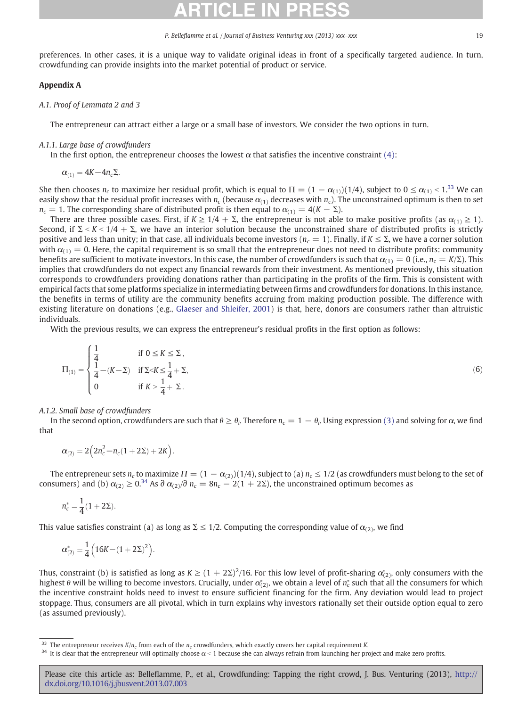preferences. In other cases, it is a unique way to validate original ideas in front of a specifically targeted audience. In turn, crowdfunding can provide insights into the market potential of product or service.

# Appendix A

# A.1. Proof of Lemmata 2 and 3

The entrepreneur can attract either a large or a small base of investors. We consider the two options in turn.

# A.1.1. Large base of crowdfunders

In the first option, the entrepreneur chooses the lowest  $\alpha$  that satisfies the incentive constraint [\(4\):](#page-11-0)

 $\alpha_{(1)} = 4K - 4n_c\Sigma$ .

She then chooses  $n_c$  to maximize her residual profit, which is equal to  $\Pi = (1 - \alpha_{(1)})(1/4)$ , subject to  $0 \le \alpha_{(1)} < 1.33$  We can easily show that the residual profit increases with  $n_c$  (because  $\alpha_{(1)}$  decreases with  $n_c$ ). The unconstrained optimum is then to set  $n_c = 1$ . The corresponding share of distributed profit is then equal to  $\alpha_{(1)} = 4(K - \Sigma)$ .

There are three possible cases. First, if  $K \geq 1/4 + \Sigma$ , the entrepreneur is not able to make positive profits (as  $\alpha_{(1)} \geq 1$ ). Second, if  $\Sigma < K < 1/4 + \Sigma$ , we have an interior solution because the unconstrained share of distributed profits is strictly positive and less than unity; in that case, all individuals become investors ( $n_c = 1$ ). Finally, if  $K \le \Sigma$ , we have a corner solution with  $\alpha_{(1)} = 0$ . Here, the capital requirement is so small that the entrepreneur does not need to distribute profits: community benefits are sufficient to motivate investors. In this case, the number of crowdfunders is such that  $\alpha_{(1)} = 0$  (i.e.,  $n_c = K/\Sigma$ ). This implies that crowdfunders do not expect any financial rewards from their investment. As mentioned previously, this situation corresponds to crowdfunders providing donations rather than participating in the profits of the firm. This is consistent with empirical facts that some platforms specialize in intermediating between firms and crowdfunders for donations. In this instance, the benefits in terms of utility are the community benefits accruing from making production possible. The difference with existing literature on donations (e.g., [Glaeser and Shleifer, 2001\)](#page-24-0) is that, here, donors are consumers rather than altruistic individuals.

With the previous results, we can express the entrepreneur's residual profits in the first option as follows:

$$
\Pi_{(1)} = \begin{cases}\n\frac{1}{4} & \text{if } 0 \le K \le \Sigma, \\
\frac{1}{4} - (K - \Sigma) & \text{if } \Sigma < K \le \frac{1}{4} + \Sigma, \\
0 & \text{if } K > \frac{1}{4} + \Sigma.\n\end{cases} \tag{6}
$$

A.1.2. Small base of crowdfunders

In the second option, crowdfunders are such that  $\theta \ge \theta_i$ . Therefore  $n_c = 1 - \theta_i$ . Using expression [\(3\)](#page-10-0) and solving for  $\alpha$ , we find that

$$
\alpha_{(2)}=2\Big(2n_c^2\!-\!n_c(1+2\Sigma)+2K\Big).
$$

The entrepreneur sets  $n_c$  to maximize  $\Pi = (1 - \alpha_{(2)})(1/4)$ , subject to (a)  $n_c \le 1/2$  (as crowdfunders must belong to the set of consumers) and (b)  $\alpha_{(2)} \ge 0.34$  As  $\partial \alpha_{(2)}/\partial n_c = 8n_c - 2(1 + 2\Sigma)$ , the unconstrained optimum becomes as

$$
n_c^*=\frac{1}{4}(1+2\Sigma).
$$

This value satisfies constraint (a) as long as  $\Sigma \leq 1/2$ . Computing the corresponding value of  $\alpha_{(2)}$ , we find

$$
\alpha_{(2)}^* = \frac{1}{4} \Big( 16K \!-\! \left( 1 + 2\Sigma \right)^2 \Big).
$$

Thus, constraint (b) is satisfied as long as  $K \geq (1+2\Sigma)^2/16$ . For this low level of profit-sharing  $\alpha^*_{(2)}$ , only consumers with the highest  $\theta$  will be willing to become investors. Crucially, under  $\alpha_{(2)}^*$ , we obtain a level of  $n_c^*$  such that all the consumers for which the incentive constraint holds need to invest to ensure sufficient financing for the firm. Any deviation would lead to project stoppage. Thus, consumers are all pivotal, which in turn explains why investors rationally set their outside option equal to zero (as assumed previously).

<span id="page-18-0"></span>

<sup>&</sup>lt;sup>33</sup> The entrepreneur receives  $K/n_c$  from each of the  $n_c$  crowdfunders, which exactly covers her capital requirement K.<br><sup>34</sup> It is clear that the entrepreneur will optimally choose  $\alpha$  < 1 because she can always refrain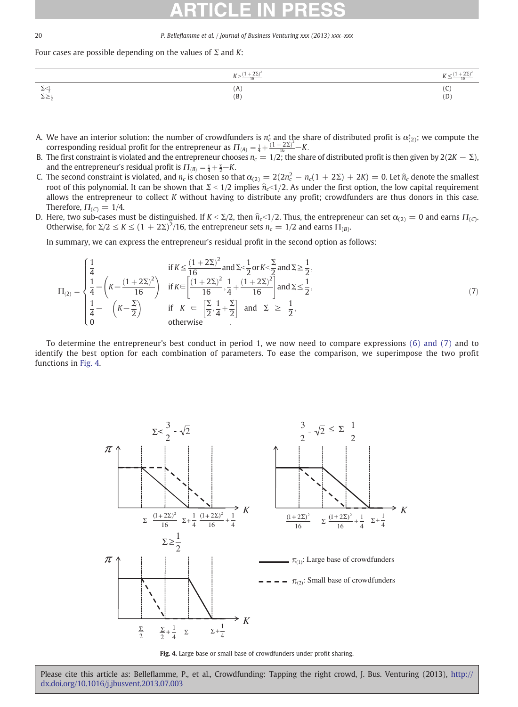# Four cases are possible depending on the values of  $\Sigma$  and K:

|                           | $(1 + 2\Sigma)^2$<br>$N \geq$<br>$\frac{1}{2}$ | $2.35 - 2.57 + 2.5$<br>--<br>$\mathbf{v} =$ |
|---------------------------|------------------------------------------------|---------------------------------------------|
| $\Sigma<\frac{1}{2}$      | (A)                                            | $\left(\mathsf{C}\right)$                   |
| $\Sigma \geq \frac{1}{2}$ | (B)                                            | (D)                                         |

- A. We have an interior solution: the number of crowdfunders is  $n_c^*$  and the share of distributed profit is  $\alpha_{(2)}^*$ ; we compute the corresponding residual profit for the entrepreneur as  $\Pi_{(A)} = \frac{1}{4} + \frac{(1+2\Sigma)^2}{16}$ –K:
- B. The first constraint is violated and the entrepreneur chooses  $n_c = 1/2$ ; the share of distributed profit is then given by 2(2K  $\Sigma$ ), and the entrepreneur's residual profit is  $\Pi_{(B)} = \frac{1}{4} + \frac{\Sigma}{2} - K$ .
- C. The second constraint is violated, and  $n_c$  is chosen so that  $\alpha_{(2)} = 2(2n_c^2 n_c(1 + 2\Sigma) + 2K) = 0$ . Let  $\hat{n}_c$  denote the smallest root of this polynomial. It can be shown that  $\Sigma < 1/2$  implies  $\hat{n}_c < 1/2$ . As under the first option, the low capital requirement allows the entrepreneur to collect K without having to distribute any profit; crowdfunders are thus donors in this case. Therefore,  $\Pi_{(C)} = 1/4$ .
- D. Here, two sub-cases must be distinguished. If  $K < \Sigma/2$ , then  $\hat{n}_c < 1/2$ . Thus, the entrepreneur can set  $\alpha_{(2)} = 0$  and earns  $\Pi_{(C)}$ . Otherwise, for  $\Sigma/2 \leq K \leq (1 + 2\Sigma)^2/16$ , the entrepreneur sets  $n_c = 1/2$  and earns  $\Pi_{(B)}$ .

In summary, we can express the entrepreneur's residual profit in the second option as follows:

$$
\Pi_{(2)} = \begin{cases}\n\frac{1}{4} & \text{if } K \leq \frac{(1+2\Sigma)^2}{16} \text{ and } \Sigma < \frac{1}{2} \text{ or } K < \frac{\Sigma}{2} \text{ and } \Sigma \geq \frac{1}{2}, \\
\frac{1}{4} - \left(K - \frac{(1+2\Sigma)^2}{16}\right) & \text{if } K \in \left[\frac{(1+2\Sigma)^2}{16}, \frac{1}{4} + \frac{(1+2\Sigma)^2}{16}\right] \text{ and } \Sigma \leq \frac{1}{2}, \\
\frac{1}{4} - \left(K - \frac{\Sigma}{2}\right) & \text{if } K \in \left[\frac{\Sigma}{2}, \frac{1}{4} + \frac{\Sigma}{2}\right] \text{ and } \Sigma \geq \frac{1}{2}, \\
& \text{otherwise}\n\end{cases}
$$
\n(7)

To determine the entrepreneur's best conduct in period 1, we now need to compare expressions [\(6\) and \(7\)](#page-18-0) and to identify the best option for each combination of parameters. To ease the comparison, we superimpose the two profit functions in [Fig. 4](#page-19-0).



<span id="page-19-0"></span>Fig. 4. Large base or small base of crowdfunders under profit sharing.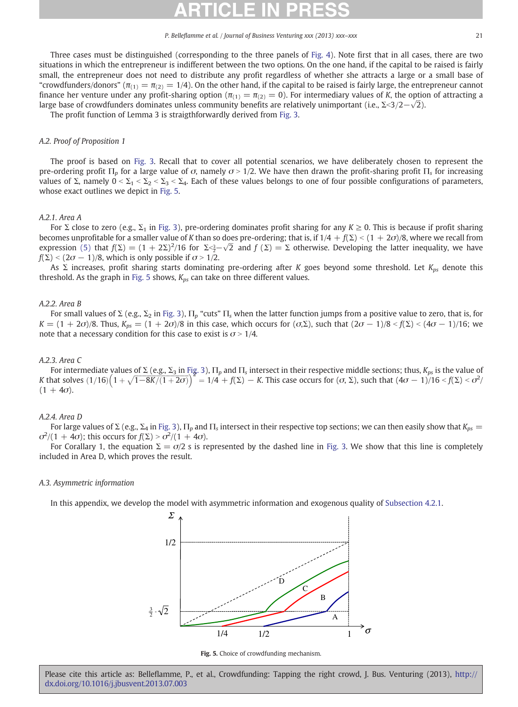Three cases must be distinguished (corresponding to the three panels of [Fig. 4](#page-19-0)). Note first that in all cases, there are two situations in which the entrepreneur is indifferent between the two options. On the one hand, if the capital to be raised is fairly small, the entrepreneur does not need to distribute any profit regardless of whether she attracts a large or a small base of "crowdfunders/donors" ( $\pi_{(1)} = \pi_{(2)} = 1/4$ ). On the other hand, if the capital to be raised is fairly large, the entrepreneur cannot finance her venture under any profit-sharing option ( $\pi_{(1)} = \pi_{(2)} = 0$ ). For intermediary values of K, the option of attracting a large base of crowdfunders dominates unless community benefits are relatively unimportant (i.e.,  $\Sigma$ <3/2 $-\sqrt{2}$ ).

The profit function of Lemma 3 is straigthforwardly derived from [Fig. 3](#page-12-0).

# A.2. Proof of Proposition 1

The proof is based on [Fig. 3.](#page-12-0) Recall that to cover all potential scenarios, we have deliberately chosen to represent the pre-ordering profit  $\Pi_p$  for a large value of  $\sigma$ , namely  $\sigma > 1/2$ . We have then drawn the profit-sharing profit  $\Pi_s$  for increasing values of  $\Sigma$ , namely  $0 < \Sigma_1 < \Sigma_2 < \Sigma_3 < \Sigma_4$ . Each of these values belongs to one of four possible configurations of parameters, whose exact outlines we depict in [Fig. 5](#page-20-0).

# A.2.1. Area A

For  $\Sigma$  close to zero (e.g.,  $\Sigma_1$  in [Fig. 3](#page-12-0)), pre-ordering dominates profit sharing for any  $K \ge 0$ . This is because if profit sharing becomes unprofitable for a smaller value of K than so does pre-ordering; that is, if  $1/4 + f(\Sigma) < (1 + 2\sigma)/8$ , where we recall from expression [\(5\)](#page-11-0) that  $f(\Sigma) = (1 + 2\Sigma)^2/16$  for  $\Sigma \le \frac{3}{2} - \sqrt{2}$  and  $f(\Sigma) = \Sigma$  otherwise. Developing the latter inequality, we have  $f(\Sigma) < (2\sigma - 1)/8$ , which is only possible if  $\sigma > 1/2$ .

As  $\Sigma$  increases, profit sharing starts dominating pre-ordering after K goes beyond some threshold. Let K<sub>ps</sub> denote this threshold. As the graph in [Fig. 5](#page-20-0) shows,  $K_{ps}$  can take on three different values.

# A.2.2. Area B

For small values of  $\Sigma$  (e.g.,  $\Sigma_2$  in [Fig. 3](#page-12-0)),  $\Pi_p$  "cuts"  $\Pi_s$  when the latter function jumps from a positive value to zero, that is, for  $K = (1 + 2\sigma)/8$ . Thus,  $K_{ps} = (1 + 2\sigma)/8$  in this case, which occurs for  $(\sigma, \Sigma)$ , such that  $(2\sigma - 1)/8 < f(\Sigma) < (4\sigma - 1)/16$ ; we note that a necessary condition for this case to exist is  $\sigma$  > 1/4.

# A.2.3. Area C

For intermediate values of  $\Sigma$  (e.g.,  $\Sigma_3$  in [Fig. 3](#page-12-0)),  $\Pi_p$  and  $\Pi_s$  intersect in their respective middle sections; thus,  $K_{ps}$  is the value of K that solves  $(1/16)\left(1+\sqrt{1-8K/(1+2\sigma)}\right)^2 = 1/4 + f(\Sigma) - K$ . This case occurs for  $(\sigma, \Sigma)$ , such that  $(4\sigma - 1)/16 < f(\Sigma) < \sigma^2$  $(1 + 4\sigma)$ .

## A.2.4. Area D

For large values of  $\Sigma$  (e.g.,  $\Sigma_4$  in [Fig. 3](#page-12-0)),  $\Pi_p$  and  $\Pi_s$  intersect in their respective top sections; we can then easily show that  $K_{ps}$  =  $\sigma^2/(1+4\sigma)$ ; this occurs for  $f(\Sigma) > \sigma^2/(1+4\sigma)$ .

For Corallary 1, the equation  $\Sigma = \sigma/2$  s is represented by the dashed line in [Fig. 3](#page-12-0). We show that this line is completely included in Area D, which proves the result.

# A.3. Asymmetric information

In this appendix, we develop the model with asymmetric information and exogenous quality of [Subsection 4.2.1.](#page-14-0)



<span id="page-20-0"></span>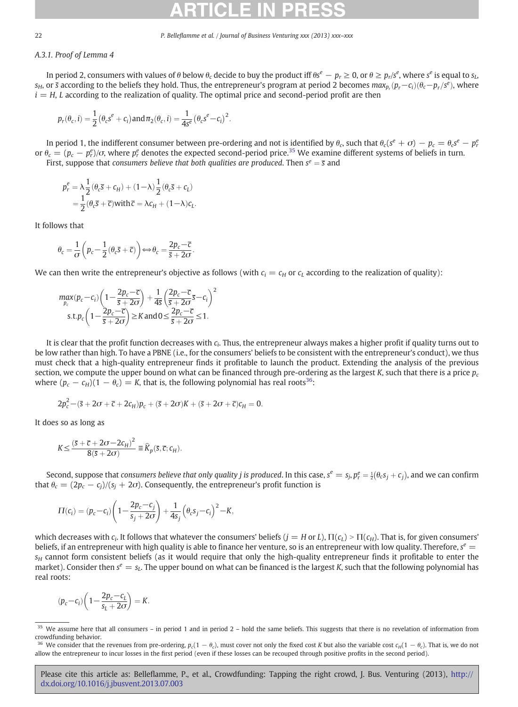# A.3.1. Proof of Lemma 4

In period 2, consumers with values of  $\theta$  below  $\theta_c$  decide to buy the product iff  $\theta s^e-p_r\geq 0$ , or  $\theta\geq p_r/s^e$ , where  $s^e$  is equal to  $s_L$  $s_H$ , or  $\bar{s}$  according to the beliefs they hold. Thus, the entrepreneur's program at period 2 becomes  $max_p (p_r - c_i)(\theta_c - p_r/s^e)$ , where  $i = H$ , L according to the realization of quality. The optimal price and second-period profit are then

$$
p_r(\theta_c, i) = \frac{1}{2} (\theta_c s^e + c_i) \text{ and } \pi_2(\theta_c, i) = \frac{1}{4s^e} (\theta_c s^e - c_i)^2.
$$

In period 1, the indifferent consumer between pre-ordering and not is identified by  $\theta_c$ , such that  $\theta_c(s^e+\sigma)-p_c=\theta_c s^e-p_r^e$ or  $\theta_c=(p_c-p_r^e)/\sigma$ , where  $p_r^e$  denotes the expected second-period price. $^{35}$  We examine different systems of beliefs in turn. First, suppose that consumers believe that both qualities are produced. Then  $s^e = \overline{s}$  and

$$
p_r^e = \lambda \frac{1}{2} (\theta_c \overline{s} + c_H) + (1 - \lambda) \frac{1}{2} (\theta_c \overline{s} + c_L)
$$
  
=  $\frac{1}{2} (\theta_c \overline{s} + \overline{c})$  with  $\overline{c} = \lambda c_H + (1 - \lambda) c_L$ .

It follows that

$$
\theta_c = \frac{1}{\sigma} \left( p_c - \frac{1}{2} (\theta_c \overline{s} + \overline{c}) \right) \Longleftrightarrow \theta_c = \frac{2p_c - \overline{c}}{\overline{s} + 2 \sigma}.
$$

We can then write the entrepreneur's objective as follows (with  $c_i = c_H$  or  $c<sub>L</sub>$  according to the realization of quality):

$$
\begin{aligned}\n&\max_{p_c} (p_c - c_i) \left( 1 - \frac{2p_c - \overline{c}}{\overline{s} + 2\sigma} \right) + \frac{1}{4\overline{s}} \left( \frac{2p_c - \overline{c}}{\overline{s} + 2\sigma} \overline{s} - c_i \right)^2 \\
&\text{s.t.} p_c \left( 1 - \frac{2p_c - \overline{c}}{\overline{s} + 2\sigma} \right) \ge K \text{ and } 0 \le \frac{2p_c - \overline{c}}{\overline{s} + 2\sigma} \le 1.\n\end{aligned}
$$

It is clear that the profit function decreases with  $c_i$ . Thus, the entrepreneur always makes a higher profit if quality turns out to be low rather than high. To have a PBNE (i.e., for the consumers' beliefs to be consistent with the entrepreneur's conduct), we thus must check that a high-quality entrepreneur finds it profitable to launch the product. Extending the analysis of the previous section, we compute the upper bound on what can be financed through pre-ordering as the largest K, such that there is a price  $p_c$ where  $(p_c - c_H)(1 - \theta_c) = K$ , that is, the following polynomial has real roots<sup>36</sup>:

$$
2p_c^2 - (\overline{s} + 2\sigma + \overline{c} + 2c_H)p_c + (\overline{s} + 2\sigma)K + (\overline{s} + 2\sigma + \overline{c})c_H = 0.
$$

It does so as long as

$$
K \leq \frac{(\overline{s} + \overline{c} + 2\sigma - 2c_H)^2}{8(\overline{s} + 2\sigma)} \equiv \widehat{K}_p(\overline{s}, \overline{c}; c_H).
$$

Second, suppose that consumers believe that only quality j is produced. In this case,  $s^e = s_j$ ,  $p_r^e = \frac{1}{2}(\theta_c s_j + c_j)$ , and we can confirm that  $\theta_c = (2p_c - c_i)/(s_i + 2\sigma)$ . Consequently, the entrepreneur's profit function is

$$
\Pi(c_i) = (p_c - c_i) \left( 1 - \frac{2p_c - c_j}{s_j + 2\sigma} \right) + \frac{1}{4s_j} \left( \theta_c s_j - c_i \right)^2 - K,
$$

which decreases with  $c_i$ . It follows that whatever the consumers' beliefs ( $j = H$  or L),  $\Pi(c_i) > \Pi(c_H)$ . That is, for given consumers' beliefs, if an entrepreneur with high quality is able to finance her venture, so is an entrepreneur with low quality. Therefore,  $s^e$  =  $s_H$  cannot form consistent beliefs (as it would require that only the high-quality entrepreneur finds it profitable to enter the market). Consider then  $s^e = s_L$ . The upper bound on what can be financed is the largest K, such that the following polynomial has real roots:

$$
(p_c-c_i)\left(1-\frac{2p_c-c_L}{s_L+2\sigma}\right)=K.
$$

<sup>&</sup>lt;sup>35</sup> We assume here that all consumers – in period 1 and in period 2 – hold the same beliefs. This suggests that there is no revelation of information from crowdfunding behavior.

<sup>&</sup>lt;sup>36</sup> We consider that the revenues from pre-ordering,  $p_c(1 - \theta_c)$ , must cover not only the fixed cost K but also the variable cost  $c_H(1 - \theta_c)$ . That is, we do not allow the entrepreneur to incur losses in the first period (even if these losses can be recouped through positive profits in the second period).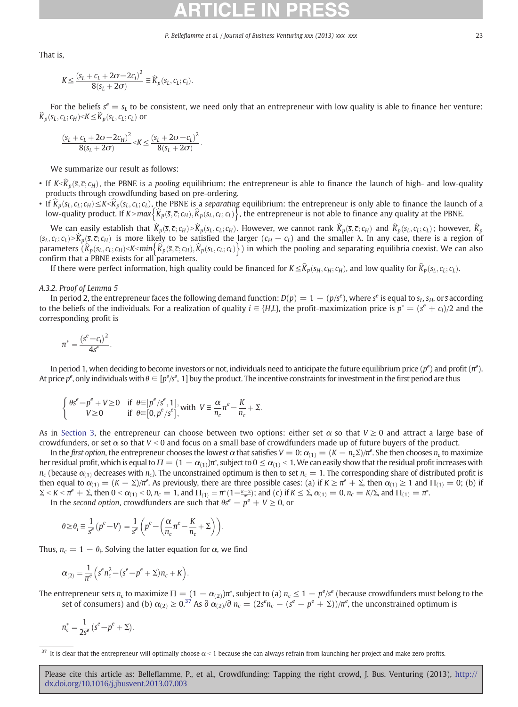That is,

$$
K \le \frac{(s_L + c_L + 2\sigma - 2c_i)^2}{8(s_L + 2\sigma)} \equiv \widehat{K}_p(s_L, c_L; c_i).
$$

For the beliefs  $s^e = s_L$  to be consistent, we need only that an entrepreneur with low quality is able to finance her venture:  $\widehat{K}_p(s_L, c_L; c_H) \leq K \leq \widehat{K}_p(s_L, c_L; c_L)$  or

$$
\frac{(s_L+c_L+2\sigma-2c_H)^2}{8(s_L+2\sigma)}
$$

We summarize our result as follows:

- If  $K<\hat{K}_n(\bar{s},\bar{c}; c_H)$ , the PBNE is a pooling equilibrium: the entrepreneur is able to finance the launch of high- and low-quality products through crowdfunding based on pre-ordering.
- If  $\hat{K}_p(s_L,c_L;c_H) \leq K \langle \hat{K}_p(s_L,c_L;c_L),$  the PBNE is a separating equilibrium: the entrepreneur is only able to finance the launch of a low-quality product. If  $K > max \left\{ \widehat{K}_p(\overline{s}, \overline{c}; c_H), \widehat{K}_p(s_L, c_L; c_L) \right\}$ , the entrepreneur is not able to finance any quality at the PBNE.

We can easily establish that  $\widehat{K}_p(\overline{s},\overline{c}; c_H) > \widehat{K}_p(s_L,c_L;c_H)$ . However, we cannot rank  $\widehat{K}_p(\overline{s},\overline{c}; c_H)$  and  $\widehat{K}_p(s_L,c_L;c_L)$ ; however,  $\widehat{K}_p(s_L,c_L;c_L)$  $(s_L, c_L; c_L) > \hat{K}_p(\bar{s}, \bar{c}; c_H)$  is more likely to be satisfied the larger  $(c_H - c_L)$  and the smaller  $\lambda$ . In any case, there is a region of parameters  $(\overrightarrow{K}_p(s_L, c_L; c_H) \lt K \lt min{\{\widetilde{K}_p(\overline{s}, \overline{c}; c_H), \widehat{K}_p(s_L, c_L; c_L)\}\})$  in which the pooling and separating equilibria coexist. We can also confirm that a PBNE exists for all parameters.

If there were perfect information, high quality could be financed for  $K \leq \widehat{K}_p(s_H, c_H; c_H)$ , and low quality for  $\widehat{K}_p(s_I, c_I; c_I)$ .

## A.3.2. Proof of Lemma 5

In period 2, the entrepreneur faces the following demand function:  $D(p)=1-(p/s^e)$ , where  $s^e$  is equal to  $s_L$ ,  $s_H$ , or  $\overline{s}$  according to the beliefs of the individuals. For a realization of quality  $i \in \{H,L\}$ , the profit-maximization price is  $p^* = (s^e + c_i)/2$  and the corresponding profit is

$$
\pi^* = \frac{(s^e - c_i)^2}{4s^e}.
$$

In period 1, when deciding to become investors or not, individuals need to anticipate the future equilibrium price  $(p^e)$  and profit  $(n^e)$ . At price  $p^e$ , only individuals with  $\theta\in[p^e/s^e]$  . I] buy the product. The incentive constraints for investment in the first period are thus

$$
\begin{cases} \theta s^{e} - p^{e} + V \ge 0 & \text{if } \theta \in [p^{e}/s^{e}, 1], \\ V \ge 0 & \text{if } \theta \in [0, p^{e}/s^{e}], \end{cases} \text{ with } V \equiv \frac{\alpha}{n_{c}} \pi^{e} - \frac{K}{n_{c}} + \Sigma.
$$

As in [Section 3](#page-3-0), the entrepreneur can choose between two options: either set  $\alpha$  so that  $V \ge 0$  and attract a large base of crowdfunders, or set  $\alpha$  so that  $V < 0$  and focus on a small base of crowdfunders made up of future buyers of the product.

In the first option, the entrepreneur chooses the lowest  $\alpha$  that satisfies  $V=0$ :  $\alpha_{(1)}=(K-n_c\Sigma)/\pi^c$ . She then chooses  $n_c$  to maximize her residual profit, which is equal to  $\Pi=(1-\alpha_{(1)})$ n\*, subject to  $0\leq\alpha_{(1)}< 1.$  We can easily show that the residual profit increases with  $n_c$  (because  $\alpha_{(1)}$  decreases with  $n_c$ ). The unconstrained optimum is then to set  $n_c = 1$ . The corresponding share of distributed profit is then equal to  $\alpha_{(1)} = (K - \Sigma)/\pi^e$ . As previously, there are three possible cases: (a) if  $K \ge \pi^e + \Sigma$ , then  $\alpha_{(1)} \ge 1$  and  $\Pi_{(1)} = 0$ ; (b) if  $\Sigma < K < \pi^e + \Sigma$ , then  $0 < \alpha_{(1)} < 0$ ,  $n_c = 1$ , and  $\Pi_{(1)} = \pi^*(1 - \frac{K - \Sigma}{\pi^e})$ ; and  $(c)$  if  $K \le \Sigma$ ,  $\alpha_{(1)} = 0$ ,  $n_c = K/\Sigma$ , and  $\Pi_{(1)} = \pi^*$ .

In the second option, crowdfunders are such that  $\theta s^e - p^e + V \geq 0$ , or

$$
\theta \ge \theta_i \equiv \frac{1}{s^e} \left( p^e - V \right) = \frac{1}{s^e} \left( p^e - \left( \frac{\alpha}{n_c} \pi^e - \frac{K}{n_c} + \Sigma \right) \right).
$$

Thus,  $n_c = 1 - \theta_i$ . Solving the latter equation for  $\alpha$ , we find

$$
\alpha_{(2)} = \frac{1}{\pi^e} \left( s^e n_c^2 - (s^e - p^e + \Sigma) n_c + K \right).
$$

The entrepreneur sets  $n_c$  to maximize  $\Pi=(1-\alpha_{(2)})\pi^*$ , subject to (a)  $n_c\leq 1-p^e/s^e$  (because crowdfunders must belong to the set of consumers) and (b)  $\alpha_{(2)} \ge 0.37$  As  $\partial \alpha_{(2)} / \partial n_c = (2s^e n_c - (s^e - p^e + \Sigma))/\pi^e$ , the unconstrained optimum is

$$
n_c^* = \frac{1}{2s^e} \left(s^e - p^e + \Sigma\right).
$$

<sup>&</sup>lt;sup>37</sup> It is clear that the entrepreneur will optimally choose  $\alpha$  < 1 because she can always refrain from launching her project and make zero profits.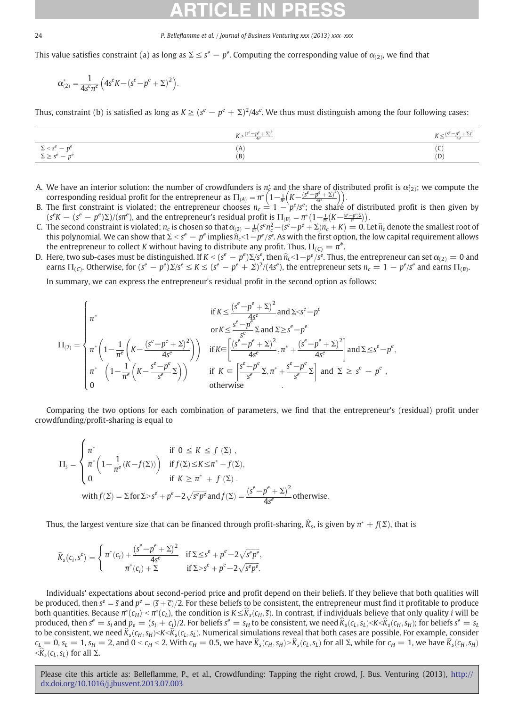This value satisfies constraint (a) as long as  $\Sigma\leq s^e-p^e.$  Computing the corresponding value of  $\alpha_{(2)}$ , we find that

$$
\alpha_{(2)}^*=\frac{1}{4s^e\pi^e}\left(4s^eK-\left(s^e-p^e+\Sigma\right)^2\right).
$$

Thus, constraint (b) is satisfied as long as  $K \ge (s^e - p^e + \Sigma)^2/4s^e$ . We thus must distinguish among the four following cases:

|                         | $K{>}\frac{{(s^e-p^e+\Sigma)}^2}{4s^e}$ | $V = (S^e - n^e + S^2)$<br>$K \leq$ $\frac{1}{4s^c}$ |
|-------------------------|-----------------------------------------|------------------------------------------------------|
| $\Sigma < s^e - p^e$    | (A)                                     | (C                                                   |
| $\Sigma \geq s^e - p^e$ | (B)                                     | (D                                                   |

- A. We have an interior solution: the number of crowdfunders is  $n^*_{\mathcal{E}}$  and the share of distributed profit is  $\alpha^*_{(2)}$ ; we compute the corresponding residual profit for the entrepreneur as  $\Pi_{(A)} = \pi^* \left( 1 - \frac{1}{\pi^c} \left( K - \frac{(s^c - p^e + \Sigma)^2}{4s^c} \right) \right)$ .
- B. The first constraint is violated; the entrepreneur chooses  $n_c \stackrel{\scriptstyle >}{=}\ 1 \stackrel{\scriptstyle \backslash}{} p^e/s^c$ ; the share of distributed profit is then given by  $(s^{e}K - (s^{e} - p^{e})\Sigma)/(sn^{e})$ , and the entrepreneur's residual profit is  $\Pi_{(B)} = \pi^{*}\left(1 - \frac{1}{\pi^{e}}(K - \frac{(s^{e} - p^{e})\Sigma}{s^{e}})\right)$ .
- C. The second constraint is violated;  $n_c$  is chosen so that  $\alpha_{(2)} = \frac{1}{\pi} (s^e n_c^2 (s^e p^e + \Sigma)n_c + K) = 0$ . Let  $\hat{n}_c$  denote the smallest root of this polynomial. We can show that  $\Sigma < s^e - p^e$  implies  $\hat{n}_e < 1-p^e/s^e$ . As with the first option, the low capital requirement allows the entrepreneur to collect K without having to distribute any profit. Thus,  $\Pi_{(C)} = \pi^*$ .
- D. Here, two sub-cases must be distinguished. If  $K < (s^e p^e) \Sigma / s^e$ , then  $\hat{n}_c < 1 p^e / s^e$ . Thus, the entrepreneur can set  $\alpha_{(2)} = 0$  and earns  $\Pi_{(C)}$ . Otherwise, for  $(s^e - p^e) \Sigma / s^e \le K \le (s^e - p^e + \Sigma)^2 / (4s^e)$ , the entrepreneur sets  $n_c = 1 - p^e/s^e$  and earns  $\Pi_{(B)}$ .

In summary, we can express the entrepreneur's residual profit in the second option as follows:

$$
\Pi_{(2)} = \begin{cases}\n\pi^* & \text{if } K \leq \frac{(s^e - p^e + \Sigma)^2}{4s^e} \text{ and } \Sigma < s^e - p^e \\
\pi^* & \text{or } K \leq \frac{s^e - p^e}{s^e} \Sigma \text{ and } \Sigma \geq s^e - p^e \\
\pi^* \left(1 - \frac{1}{\pi^e} \left(K - \frac{(s^e - p^e + \Sigma)^2}{4s^e}\right)\right) & \text{if } K \in \left[\frac{(s^e - p^e + \Sigma)^2}{4s^e}, \pi^* + \frac{(s^e - p^e + \Sigma)^2}{4s^e}\right] \text{ and } \Sigma \leq s^e - p^e, \\
\pi^* & \left(1 - \frac{1}{\pi^e} \left(K - \frac{s^e - p^e}{s^e} \Sigma\right)\right) & \text{if } K \in \left[\frac{s^e - p^e}{s^e} \Sigma, \pi^* + \frac{s^e - p^e}{s^e} \Sigma\right] \text{ and } \Sigma \geq s^e - p^e,\n\end{cases}
$$

Comparing the two options for each combination of parameters, we find that the entrepreneur's (residual) profit under crowdfunding/profit-sharing is equal to

$$
\Pi_{s} = \begin{cases} \pi^{*} & \text{if } 0 \leq K \leq f(\Sigma) , \\ \pi^{*} \left(1 - \frac{1}{\pi^{e}}(K - f(\Sigma))\right) & \text{if } f(\Sigma) \leq K \leq \pi^{*} + f(\Sigma), \\ 0 & \text{if } K \geq \pi^{*} + f(\Sigma) . \end{cases}
$$
  
with  $f(\Sigma) = \Sigma$  for  $\Sigma > s^{e} + p^{e} - 2\sqrt{s^{e}p^{e}}$  and  $f(\Sigma) = \frac{(s^{e} - p^{e} + \Sigma)^{2}}{4s^{e}}$  otherwise.

Thus, the largest venture size that can be financed through profit-sharing,  $\hat{K}_s$ , is given by  $\pi^* + f(\Sigma)$ , that is

$$
\widehat{K}_s(c_i,s^e)=\left\{\begin{matrix}\pi^*(c_i)+\frac{(s^e-p^e+\Sigma)^2}{4s^e}&\text{if }\Sigma\!\leq\! s^e+p^e\!-\!2\sqrt{s^e p^e},\\ \pi^*(c_i)+\Sigma&\text{if }\Sigma\!\!>\! s^e+p^e\!-\!2\sqrt{s^e p^e}.\end{matrix}\right.
$$

Individuals' expectations about second-period price and profit depend on their beliefs. If they believe that both qualities will be produced, then  $s^e = \overline{s}$  and  $p^e = (\overline{s} + \overline{c})/2$ . For these beliefs to be consistent, the entrepreneur must find it profitable to produce both quantities. Because  $\pi^*(c_H) < \pi^*(c_L)$ , the condition is  $K \leq \hat{K}_s(c_H, \bar{s})$ . In contrast, if individuals believe that only quality *i* will be produced, then  $s^e = s_i$  and  $p_e = (s_i + c_j)/2$ . For beliefs  $s^e = s_H$  to be consistent, we need  $\widehat{K}_s(c_L, s_L) < K < \widehat{K}_s(c_H, s_H)$ ; for beliefs  $s^e = s_L$ to be consistent, we need  $\hat{K}_s(c_H, s_H) \leq K \leq \hat{K}_s(c_L, s_L)$ . Numerical simulations reveal that both cases are possible. For example, consider  $c_L = 0$ ,  $s_L = 1$ ,  $s_H = 2$ , and  $0 < c_H < 2$ . With  $c_H = 0.5$ , we have  $\hat{K}_s(c_H, s_H) > \hat{K}_s(c_L, s_L)$  for all  $\Sigma$ , while for  $c_H = 1$ , we have  $\hat{K}_s(c_H, s_H)$  $\langle \widehat{K}_s(c_l, s_l) \rangle$  for all  $\Sigma$ .